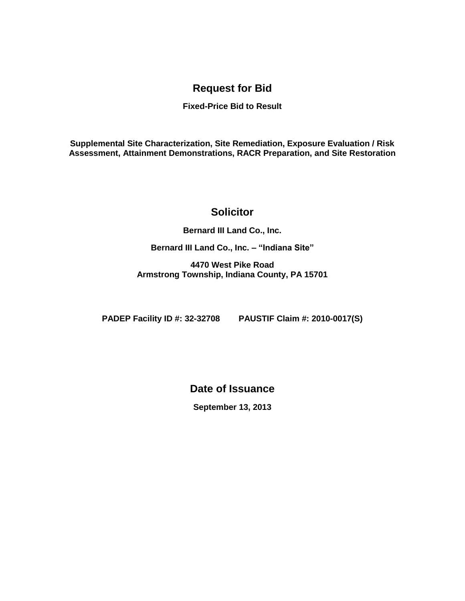## **Request for Bid**

## **Fixed-Price Bid to Result**

**Supplemental Site Characterization, Site Remediation, Exposure Evaluation / Risk Assessment, Attainment Demonstrations, RACR Preparation, and Site Restoration**

## **Solicitor**

**Bernard III Land Co., Inc.**

**Bernard III Land Co., Inc. – "Indiana Site"**

**4470 West Pike Road Armstrong Township, Indiana County, PA 15701**

**PADEP Facility ID #: 32-32708 PAUSTIF Claim #: 2010-0017(S)**

**Date of Issuance**

**September 13, 2013**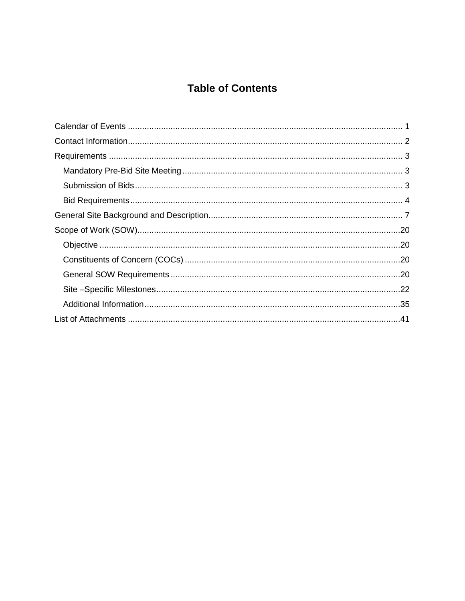# **Table of Contents**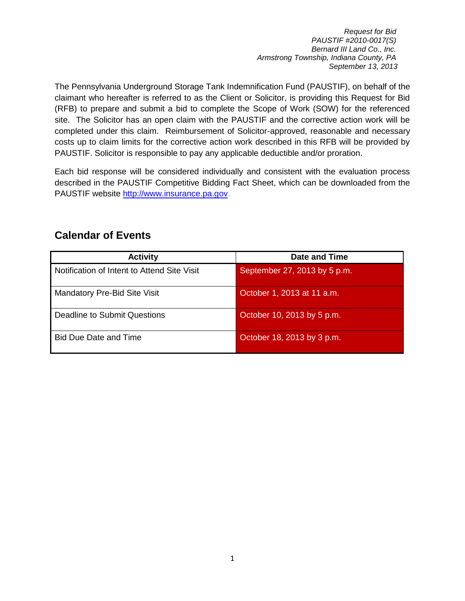The Pennsylvania Underground Storage Tank Indemnification Fund (PAUSTIF), on behalf of the claimant who hereafter is referred to as the Client or Solicitor, is providing this Request for Bid (RFB) to prepare and submit a bid to complete the Scope of Work (SOW) for the referenced site. The Solicitor has an open claim with the PAUSTIF and the corrective action work will be completed under this claim. Reimbursement of Solicitor-approved, reasonable and necessary costs up to claim limits for the corrective action work described in this RFB will be provided by PAUSTIF. Solicitor is responsible to pay any applicable deductible and/or proration.

Each bid response will be considered individually and consistent with the evaluation process described in the PAUSTIF Competitive Bidding Fact Sheet, which can be downloaded from the PAUSTIF website [http://www.insurance.pa.gov.](http://www.insurance.pa.gov/)

| <b>Activity</b>                             | Date and Time                |
|---------------------------------------------|------------------------------|
| Notification of Intent to Attend Site Visit | September 27, 2013 by 5 p.m. |
| Mandatory Pre-Bid Site Visit                | October 1, 2013 at 11 a.m.   |
| Deadline to Submit Questions                | October 10, 2013 by 5 p.m.   |
| <b>Bid Due Date and Time</b>                | October 18, 2013 by 3 p.m.   |

## <span id="page-2-0"></span>**Calendar of Events**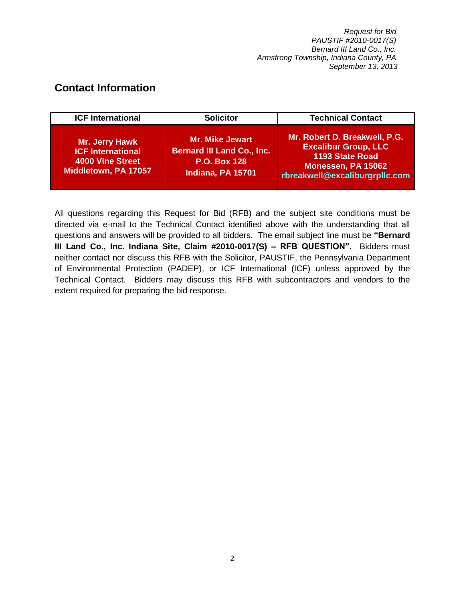## <span id="page-3-0"></span>**Contact Information**

| <b>ICF International</b>                                                                             | <b>Solicitor</b>                                                                                        | <b>Technical Contact</b>                                                                                                                |
|------------------------------------------------------------------------------------------------------|---------------------------------------------------------------------------------------------------------|-----------------------------------------------------------------------------------------------------------------------------------------|
| <b>Mr. Jerry Hawk</b><br><b>ICF International</b><br><b>4000 Vine Street</b><br>Middletown, PA 17057 | <b>Mr. Mike Jewart</b><br><b>Bernard III Land Co., Inc.</b><br><b>P.O. Box 128</b><br>Indiana, PA 15701 | Mr. Robert D. Breakwell, P.G.<br><b>Excalibur Group, LLC</b><br>1193 State Road<br>Monessen, PA 15062<br>rbreakwell@excaliburgrpllc.com |

All questions regarding this Request for Bid (RFB) and the subject site conditions must be directed via e-mail to the Technical Contact identified above with the understanding that all questions and answers will be provided to all bidders. The email subject line must be **"Bernard III Land Co., Inc. Indiana Site, Claim #2010-0017(S) – RFB QUESTION".** Bidders must neither contact nor discuss this RFB with the Solicitor, PAUSTIF, the Pennsylvania Department of Environmental Protection (PADEP), or ICF International (ICF) unless approved by the Technical Contact. Bidders may discuss this RFB with subcontractors and vendors to the extent required for preparing the bid response.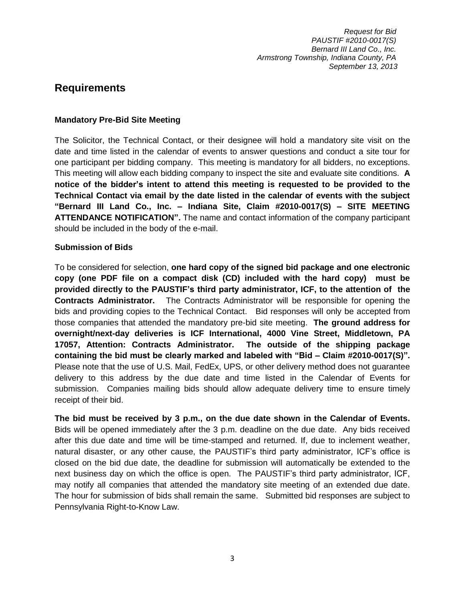## <span id="page-4-0"></span>**Requirements**

#### <span id="page-4-1"></span>**Mandatory Pre-Bid Site Meeting**

The Solicitor, the Technical Contact, or their designee will hold a mandatory site visit on the date and time listed in the calendar of events to answer questions and conduct a site tour for one participant per bidding company. This meeting is mandatory for all bidders, no exceptions. This meeting will allow each bidding company to inspect the site and evaluate site conditions. **A notice of the bidder's intent to attend this meeting is requested to be provided to the Technical Contact via email by the date listed in the calendar of events with the subject "Bernard III Land Co., Inc. – Indiana Site, Claim #2010-0017(S) – SITE MEETING ATTENDANCE NOTIFICATION".** The name and contact information of the company participant should be included in the body of the e-mail.

## <span id="page-4-2"></span>**Submission of Bids**

To be considered for selection, **one hard copy of the signed bid package and one electronic copy (one PDF file on a compact disk (CD) included with the hard copy) must be provided directly to the PAUSTIF's third party administrator, ICF, to the attention of the Contracts Administrator.** The Contracts Administrator will be responsible for opening the bids and providing copies to the Technical Contact. Bid responses will only be accepted from those companies that attended the mandatory pre-bid site meeting. **The ground address for overnight/next-day deliveries is ICF International, 4000 Vine Street, Middletown, PA 17057, Attention: Contracts Administrator. The outside of the shipping package containing the bid must be clearly marked and labeled with "Bid – Claim #2010-0017(S)".** Please note that the use of U.S. Mail, FedEx, UPS, or other delivery method does not guarantee delivery to this address by the due date and time listed in the Calendar of Events for submission. Companies mailing bids should allow adequate delivery time to ensure timely receipt of their bid.

**The bid must be received by 3 p.m., on the due date shown in the Calendar of Events.** Bids will be opened immediately after the 3 p.m. deadline on the due date. Any bids received after this due date and time will be time-stamped and returned. If, due to inclement weather, natural disaster, or any other cause, the PAUSTIF's third party administrator, ICF's office is closed on the bid due date, the deadline for submission will automatically be extended to the next business day on which the office is open. The PAUSTIF's third party administrator, ICF, may notify all companies that attended the mandatory site meeting of an extended due date. The hour for submission of bids shall remain the same. Submitted bid responses are subject to Pennsylvania Right-to-Know Law.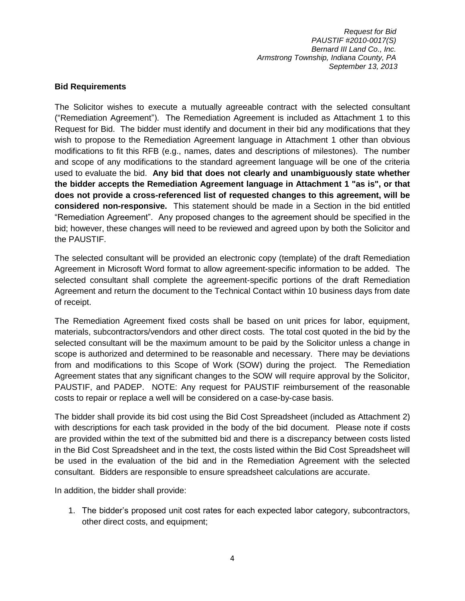#### <span id="page-5-0"></span>**Bid Requirements**

The Solicitor wishes to execute a mutually agreeable contract with the selected consultant ("Remediation Agreement"). The Remediation Agreement is included as Attachment 1 to this Request for Bid. The bidder must identify and document in their bid any modifications that they wish to propose to the Remediation Agreement language in Attachment 1 other than obvious modifications to fit this RFB (e.g., names, dates and descriptions of milestones). The number and scope of any modifications to the standard agreement language will be one of the criteria used to evaluate the bid. **Any bid that does not clearly and unambiguously state whether the bidder accepts the Remediation Agreement language in Attachment 1 "as is", or that does not provide a cross-referenced list of requested changes to this agreement, will be considered non-responsive.** This statement should be made in a Section in the bid entitled "Remediation Agreement". Any proposed changes to the agreement should be specified in the bid; however, these changes will need to be reviewed and agreed upon by both the Solicitor and the PAUSTIF.

The selected consultant will be provided an electronic copy (template) of the draft Remediation Agreement in Microsoft Word format to allow agreement-specific information to be added. The selected consultant shall complete the agreement-specific portions of the draft Remediation Agreement and return the document to the Technical Contact within 10 business days from date of receipt.

The Remediation Agreement fixed costs shall be based on unit prices for labor, equipment, materials, subcontractors/vendors and other direct costs. The total cost quoted in the bid by the selected consultant will be the maximum amount to be paid by the Solicitor unless a change in scope is authorized and determined to be reasonable and necessary. There may be deviations from and modifications to this Scope of Work (SOW) during the project. The Remediation Agreement states that any significant changes to the SOW will require approval by the Solicitor, PAUSTIF, and PADEP. NOTE: Any request for PAUSTIF reimbursement of the reasonable costs to repair or replace a well will be considered on a case-by-case basis.

The bidder shall provide its bid cost using the Bid Cost Spreadsheet (included as Attachment 2) with descriptions for each task provided in the body of the bid document. Please note if costs are provided within the text of the submitted bid and there is a discrepancy between costs listed in the Bid Cost Spreadsheet and in the text, the costs listed within the Bid Cost Spreadsheet will be used in the evaluation of the bid and in the Remediation Agreement with the selected consultant. Bidders are responsible to ensure spreadsheet calculations are accurate.

In addition, the bidder shall provide:

1. The bidder's proposed unit cost rates for each expected labor category, subcontractors, other direct costs, and equipment;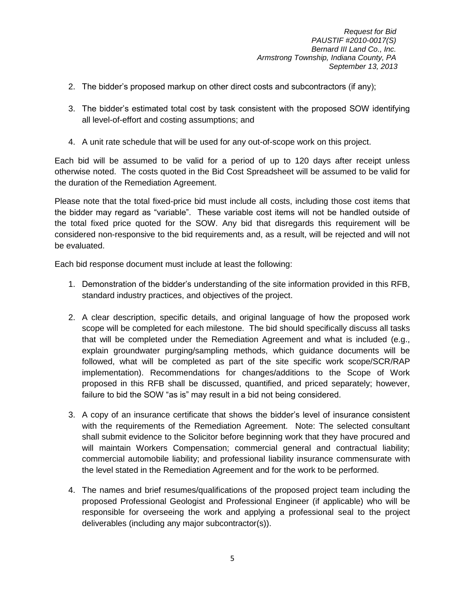- 2. The bidder's proposed markup on other direct costs and subcontractors (if any);
- 3. The bidder's estimated total cost by task consistent with the proposed SOW identifying all level-of-effort and costing assumptions; and
- 4. A unit rate schedule that will be used for any out-of-scope work on this project.

Each bid will be assumed to be valid for a period of up to 120 days after receipt unless otherwise noted. The costs quoted in the Bid Cost Spreadsheet will be assumed to be valid for the duration of the Remediation Agreement.

Please note that the total fixed-price bid must include all costs, including those cost items that the bidder may regard as "variable". These variable cost items will not be handled outside of the total fixed price quoted for the SOW. Any bid that disregards this requirement will be considered non-responsive to the bid requirements and, as a result, will be rejected and will not be evaluated.

Each bid response document must include at least the following:

- 1. Demonstration of the bidder's understanding of the site information provided in this RFB, standard industry practices, and objectives of the project.
- 2. A clear description, specific details, and original language of how the proposed work scope will be completed for each milestone. The bid should specifically discuss all tasks that will be completed under the Remediation Agreement and what is included (e.g., explain groundwater purging/sampling methods, which guidance documents will be followed, what will be completed as part of the site specific work scope/SCR/RAP implementation). Recommendations for changes/additions to the Scope of Work proposed in this RFB shall be discussed, quantified, and priced separately; however, failure to bid the SOW "as is" may result in a bid not being considered.
- 3. A copy of an insurance certificate that shows the bidder's level of insurance consistent with the requirements of the Remediation Agreement. Note: The selected consultant shall submit evidence to the Solicitor before beginning work that they have procured and will maintain Workers Compensation; commercial general and contractual liability; commercial automobile liability; and professional liability insurance commensurate with the level stated in the Remediation Agreement and for the work to be performed.
- 4. The names and brief resumes/qualifications of the proposed project team including the proposed Professional Geologist and Professional Engineer (if applicable) who will be responsible for overseeing the work and applying a professional seal to the project deliverables (including any major subcontractor(s)).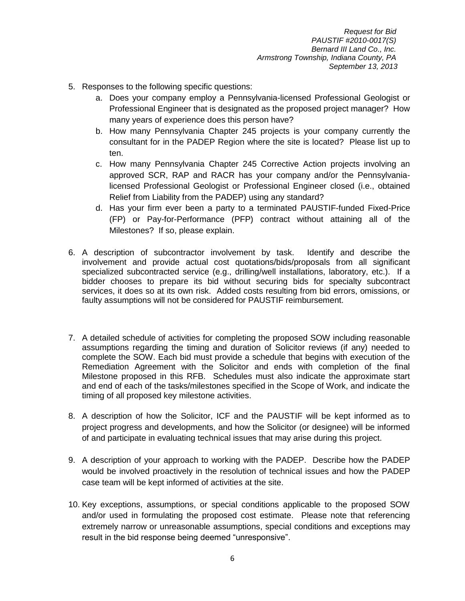- 5. Responses to the following specific questions:
	- a. Does your company employ a Pennsylvania-licensed Professional Geologist or Professional Engineer that is designated as the proposed project manager? How many years of experience does this person have?
	- b. How many Pennsylvania Chapter 245 projects is your company currently the consultant for in the PADEP Region where the site is located? Please list up to ten.
	- c. How many Pennsylvania Chapter 245 Corrective Action projects involving an approved SCR, RAP and RACR has your company and/or the Pennsylvanialicensed Professional Geologist or Professional Engineer closed (i.e., obtained Relief from Liability from the PADEP) using any standard?
	- d. Has your firm ever been a party to a terminated PAUSTIF-funded Fixed-Price (FP) or Pay-for-Performance (PFP) contract without attaining all of the Milestones? If so, please explain.
- 6. A description of subcontractor involvement by task. Identify and describe the involvement and provide actual cost quotations/bids/proposals from all significant specialized subcontracted service (e.g., drilling/well installations, laboratory, etc.). If a bidder chooses to prepare its bid without securing bids for specialty subcontract services, it does so at its own risk. Added costs resulting from bid errors, omissions, or faulty assumptions will not be considered for PAUSTIF reimbursement.
- 7. A detailed schedule of activities for completing the proposed SOW including reasonable assumptions regarding the timing and duration of Solicitor reviews (if any) needed to complete the SOW. Each bid must provide a schedule that begins with execution of the Remediation Agreement with the Solicitor and ends with completion of the final Milestone proposed in this RFB. Schedules must also indicate the approximate start and end of each of the tasks/milestones specified in the Scope of Work, and indicate the timing of all proposed key milestone activities.
- 8. A description of how the Solicitor, ICF and the PAUSTIF will be kept informed as to project progress and developments, and how the Solicitor (or designee) will be informed of and participate in evaluating technical issues that may arise during this project.
- 9. A description of your approach to working with the PADEP. Describe how the PADEP would be involved proactively in the resolution of technical issues and how the PADEP case team will be kept informed of activities at the site.
- 10. Key exceptions, assumptions, or special conditions applicable to the proposed SOW and/or used in formulating the proposed cost estimate. Please note that referencing extremely narrow or unreasonable assumptions, special conditions and exceptions may result in the bid response being deemed "unresponsive".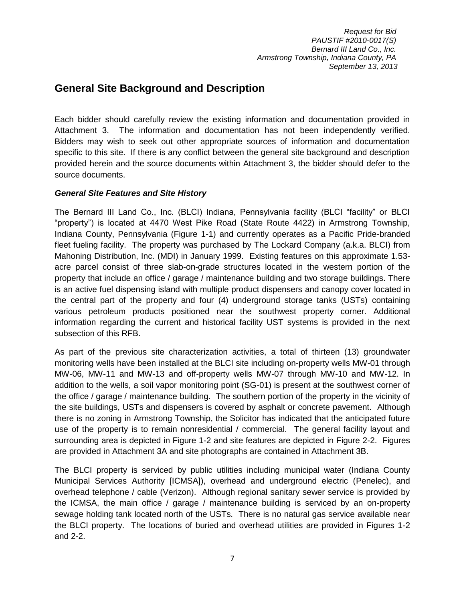## <span id="page-8-0"></span>**General Site Background and Description**

Each bidder should carefully review the existing information and documentation provided in Attachment 3. The information and documentation has not been independently verified. Bidders may wish to seek out other appropriate sources of information and documentation specific to this site. If there is any conflict between the general site background and description provided herein and the source documents within Attachment 3, the bidder should defer to the source documents.

## *General Site Features and Site History*

The Bernard III Land Co., Inc. (BLCI) Indiana, Pennsylvania facility (BLCI "facility" or BLCI "property") is located at 4470 West Pike Road (State Route 4422) in Armstrong Township, Indiana County, Pennsylvania (Figure 1-1) and currently operates as a Pacific Pride-branded fleet fueling facility. The property was purchased by The Lockard Company (a.k.a. BLCI) from Mahoning Distribution, Inc. (MDI) in January 1999. Existing features on this approximate 1.53 acre parcel consist of three slab-on-grade structures located in the western portion of the property that include an office / garage / maintenance building and two storage buildings. There is an active fuel dispensing island with multiple product dispensers and canopy cover located in the central part of the property and four (4) underground storage tanks (USTs) containing various petroleum products positioned near the southwest property corner. Additional information regarding the current and historical facility UST systems is provided in the next subsection of this RFB.

As part of the previous site characterization activities, a total of thirteen (13) groundwater monitoring wells have been installed at the BLCI site including on-property wells MW-01 through MW-06, MW-11 and MW-13 and off-property wells MW-07 through MW-10 and MW-12. In addition to the wells, a soil vapor monitoring point (SG-01) is present at the southwest corner of the office / garage / maintenance building. The southern portion of the property in the vicinity of the site buildings, USTs and dispensers is covered by asphalt or concrete pavement. Although there is no zoning in Armstrong Township, the Solicitor has indicated that the anticipated future use of the property is to remain nonresidential / commercial. The general facility layout and surrounding area is depicted in Figure 1-2 and site features are depicted in Figure 2-2. Figures are provided in Attachment 3A and site photographs are contained in Attachment 3B.

The BLCI property is serviced by public utilities including municipal water (Indiana County Municipal Services Authority [ICMSA]), overhead and underground electric (Penelec), and overhead telephone / cable (Verizon). Although regional sanitary sewer service is provided by the ICMSA, the main office / garage / maintenance building is serviced by an on-property sewage holding tank located north of the USTs. There is no natural gas service available near the BLCI property. The locations of buried and overhead utilities are provided in Figures 1-2 and 2-2.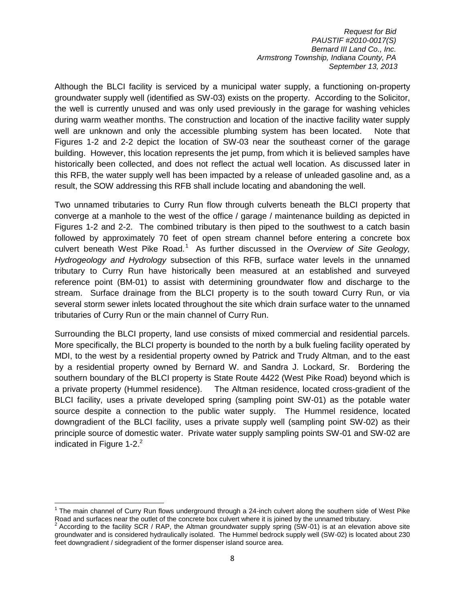Although the BLCI facility is serviced by a municipal water supply, a functioning on-property groundwater supply well (identified as SW-03) exists on the property. According to the Solicitor, the well is currently unused and was only used previously in the garage for washing vehicles during warm weather months. The construction and location of the inactive facility water supply well are unknown and only the accessible plumbing system has been located. Note that Figures 1-2 and 2-2 depict the location of SW-03 near the southeast corner of the garage building. However, this location represents the jet pump, from which it is believed samples have historically been collected, and does not reflect the actual well location. As discussed later in this RFB, the water supply well has been impacted by a release of unleaded gasoline and, as a result, the SOW addressing this RFB shall include locating and abandoning the well.

Two unnamed tributaries to Curry Run flow through culverts beneath the BLCI property that converge at a manhole to the west of the office / garage / maintenance building as depicted in Figures 1-2 and 2-2. The combined tributary is then piped to the southwest to a catch basin followed by approximately 70 feet of open stream channel before entering a concrete box culvert beneath West Pike Road.<sup>1</sup> As further discussed in the *Overview of Site Geology*, *Hydrogeology and Hydrology* subsection of this RFB, surface water levels in the unnamed tributary to Curry Run have historically been measured at an established and surveyed reference point (BM-01) to assist with determining groundwater flow and discharge to the stream. Surface drainage from the BLCI property is to the south toward Curry Run, or via several storm sewer inlets located throughout the site which drain surface water to the unnamed tributaries of Curry Run or the main channel of Curry Run.

Surrounding the BLCI property, land use consists of mixed commercial and residential parcels. More specifically, the BLCI property is bounded to the north by a bulk fueling facility operated by MDI, to the west by a residential property owned by Patrick and Trudy Altman, and to the east by a residential property owned by Bernard W. and Sandra J. Lockard, Sr. Bordering the southern boundary of the BLCI property is State Route 4422 (West Pike Road) beyond which is a private property (Hummel residence). The Altman residence, located cross-gradient of the BLCI facility, uses a private developed spring (sampling point SW-01) as the potable water source despite a connection to the public water supply. The Hummel residence, located downgradient of the BLCI facility, uses a private supply well (sampling point SW-02) as their principle source of domestic water. Private water supply sampling points SW-01 and SW-02 are indicated in Figure  $1-2.<sup>2</sup>$ 

l <sup>1</sup> The main channel of Curry Run flows underground through a 24-inch culvert along the southern side of West Pike Road and surfaces near the outlet of the concrete box culvert where it is joined by the unnamed tributary.

 $2$  According to the facility SCR / RAP, the Altman groundwater supply spring (SW-01) is at an elevation above site groundwater and is considered hydraulically isolated. The Hummel bedrock supply well (SW-02) is located about 230 feet downgradient / sidegradient of the former dispenser island source area.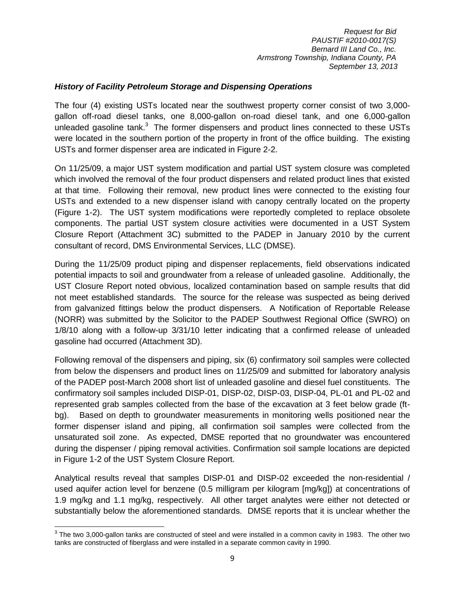#### *History of Facility Petroleum Storage and Dispensing Operations*

The four (4) existing USTs located near the southwest property corner consist of two 3,000 gallon off-road diesel tanks, one 8,000-gallon on-road diesel tank, and one 6,000-gallon unleaded gasoline tank. $3$  The former dispensers and product lines connected to these USTs were located in the southern portion of the property in front of the office building. The existing USTs and former dispenser area are indicated in Figure 2-2.

On 11/25/09, a major UST system modification and partial UST system closure was completed which involved the removal of the four product dispensers and related product lines that existed at that time. Following their removal, new product lines were connected to the existing four USTs and extended to a new dispenser island with canopy centrally located on the property (Figure 1-2). The UST system modifications were reportedly completed to replace obsolete components. The partial UST system closure activities were documented in a UST System Closure Report (Attachment 3C) submitted to the PADEP in January 2010 by the current consultant of record, DMS Environmental Services, LLC (DMSE).

During the 11/25/09 product piping and dispenser replacements, field observations indicated potential impacts to soil and groundwater from a release of unleaded gasoline. Additionally, the UST Closure Report noted obvious, localized contamination based on sample results that did not meet established standards. The source for the release was suspected as being derived from galvanized fittings below the product dispensers. A Notification of Reportable Release (NORR) was submitted by the Solicitor to the PADEP Southwest Regional Office (SWRO) on 1/8/10 along with a follow-up 3/31/10 letter indicating that a confirmed release of unleaded gasoline had occurred (Attachment 3D).

Following removal of the dispensers and piping, six (6) confirmatory soil samples were collected from below the dispensers and product lines on 11/25/09 and submitted for laboratory analysis of the PADEP post-March 2008 short list of unleaded gasoline and diesel fuel constituents. The confirmatory soil samples included DISP-01, DISP-02, DISP-03, DISP-04, PL-01 and PL-02 and represented grab samples collected from the base of the excavation at 3 feet below grade (ftbg). Based on depth to groundwater measurements in monitoring wells positioned near the former dispenser island and piping, all confirmation soil samples were collected from the unsaturated soil zone. As expected, DMSE reported that no groundwater was encountered during the dispenser / piping removal activities. Confirmation soil sample locations are depicted in Figure 1-2 of the UST System Closure Report.

Analytical results reveal that samples DISP-01 and DISP-02 exceeded the non-residential / used aquifer action level for benzene (0.5 milligram per kilogram [mg/kg]) at concentrations of 1.9 mg/kg and 1.1 mg/kg, respectively. All other target analytes were either not detected or substantially below the aforementioned standards. DMSE reports that it is unclear whether the

The two 3,000-gallon tanks are constructed of steel and were installed in a common cavity in 1983. The other two tanks are constructed of fiberglass and were installed in a separate common cavity in 1990.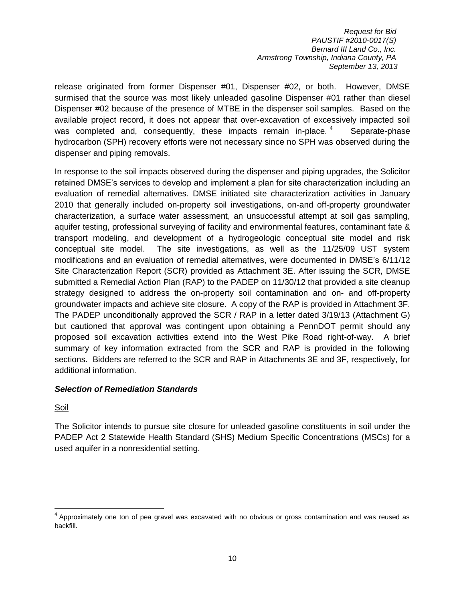release originated from former Dispenser #01, Dispenser #02, or both. However, DMSE surmised that the source was most likely unleaded gasoline Dispenser #01 rather than diesel Dispenser #02 because of the presence of MTBE in the dispenser soil samples. Based on the available project record, it does not appear that over-excavation of excessively impacted soil was completed and, consequently, these impacts remain in-place.<sup>4</sup> Separate-phase hydrocarbon (SPH) recovery efforts were not necessary since no SPH was observed during the dispenser and piping removals.

In response to the soil impacts observed during the dispenser and piping upgrades, the Solicitor retained DMSE's services to develop and implement a plan for site characterization including an evaluation of remedial alternatives. DMSE initiated site characterization activities in January 2010 that generally included on-property soil investigations, on-and off-property groundwater characterization, a surface water assessment, an unsuccessful attempt at soil gas sampling, aquifer testing, professional surveying of facility and environmental features, contaminant fate & transport modeling, and development of a hydrogeologic conceptual site model and risk conceptual site model. The site investigations, as well as the 11/25/09 UST system modifications and an evaluation of remedial alternatives, were documented in DMSE's 6/11/12 Site Characterization Report (SCR) provided as Attachment 3E. After issuing the SCR, DMSE submitted a Remedial Action Plan (RAP) to the PADEP on 11/30/12 that provided a site cleanup strategy designed to address the on-property soil contamination and on- and off-property groundwater impacts and achieve site closure. A copy of the RAP is provided in Attachment 3F. The PADEP unconditionally approved the SCR / RAP in a letter dated 3/19/13 (Attachment G) but cautioned that approval was contingent upon obtaining a PennDOT permit should any proposed soil excavation activities extend into the West Pike Road right-of-way. A brief summary of key information extracted from the SCR and RAP is provided in the following sections. Bidders are referred to the SCR and RAP in Attachments 3E and 3F, respectively, for additional information.

#### *Selection of Remediation Standards*

**Soil** 

The Solicitor intends to pursue site closure for unleaded gasoline constituents in soil under the PADEP Act 2 Statewide Health Standard (SHS) Medium Specific Concentrations (MSCs) for a used aquifer in a nonresidential setting.

Approximately one ton of pea gravel was excavated with no obvious or gross contamination and was reused as<br>Approximately one ton of pea gravel was excavated with no obvious or gross contamination and was reused as backfill.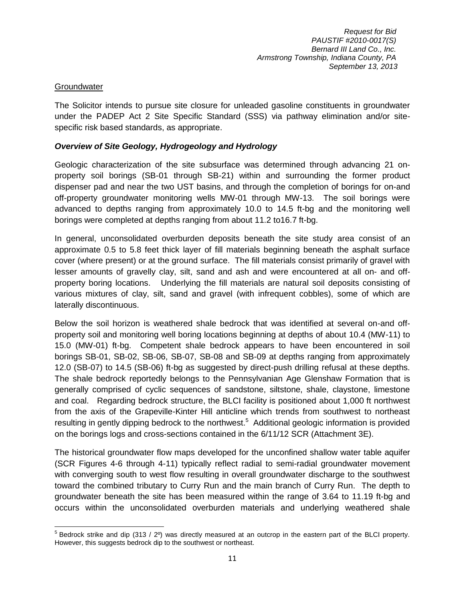## **Groundwater**

The Solicitor intends to pursue site closure for unleaded gasoline constituents in groundwater under the PADEP Act 2 Site Specific Standard (SSS) via pathway elimination and/or sitespecific risk based standards, as appropriate.

## *Overview of Site Geology, Hydrogeology and Hydrology*

Geologic characterization of the site subsurface was determined through advancing 21 onproperty soil borings (SB-01 through SB-21) within and surrounding the former product dispenser pad and near the two UST basins, and through the completion of borings for on-and off-property groundwater monitoring wells MW-01 through MW-13. The soil borings were advanced to depths ranging from approximately 10.0 to 14.5 ft-bg and the monitoring well borings were completed at depths ranging from about 11.2 to16.7 ft-bg.

In general, unconsolidated overburden deposits beneath the site study area consist of an approximate 0.5 to 5.8 feet thick layer of fill materials beginning beneath the asphalt surface cover (where present) or at the ground surface. The fill materials consist primarily of gravel with lesser amounts of gravelly clay, silt, sand and ash and were encountered at all on- and offproperty boring locations. Underlying the fill materials are natural soil deposits consisting of various mixtures of clay, silt, sand and gravel (with infrequent cobbles), some of which are laterally discontinuous.

Below the soil horizon is weathered shale bedrock that was identified at several on-and offproperty soil and monitoring well boring locations beginning at depths of about 10.4 (MW-11) to 15.0 (MW-01) ft-bg. Competent shale bedrock appears to have been encountered in soil borings SB-01, SB-02, SB-06, SB-07, SB-08 and SB-09 at depths ranging from approximately 12.0 (SB-07) to 14.5 (SB-06) ft-bg as suggested by direct-push drilling refusal at these depths. The shale bedrock reportedly belongs to the Pennsylvanian Age Glenshaw Formation that is generally comprised of cyclic sequences of sandstone, siltstone, shale, claystone, limestone and coal. Regarding bedrock structure, the BLCI facility is positioned about 1,000 ft northwest from the axis of the Grapeville-Kinter Hill anticline which trends from southwest to northeast resulting in gently dipping bedrock to the northwest.<sup>5</sup> Additional geologic information is provided on the borings logs and cross-sections contained in the 6/11/12 SCR (Attachment 3E).

The historical groundwater flow maps developed for the unconfined shallow water table aquifer (SCR Figures 4-6 through 4-11) typically reflect radial to semi-radial groundwater movement with converging south to west flow resulting in overall groundwater discharge to the southwest toward the combined tributary to Curry Run and the main branch of Curry Run. The depth to groundwater beneath the site has been measured within the range of 3.64 to 11.19 ft-bg and occurs within the unconsolidated overburden materials and underlying weathered shale

<sup>&</sup>lt;u>5</u><br><sup>5</sup> Bedrock strike and dip (313 / 2<sup>o</sup>) was directly measured at an outcrop in the eastern part of the BLCI property. However, this suggests bedrock dip to the southwest or northeast.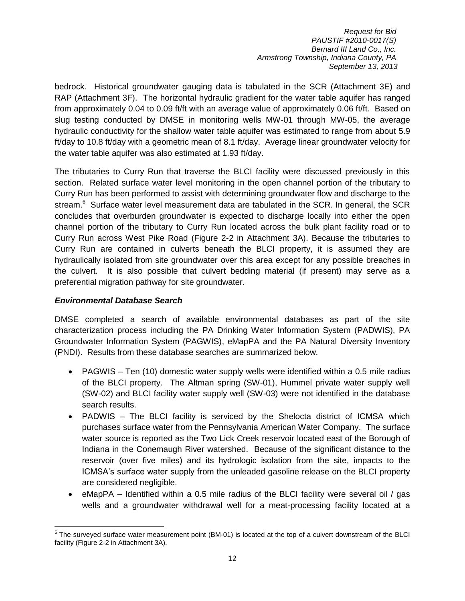bedrock. Historical groundwater gauging data is tabulated in the SCR (Attachment 3E) and RAP (Attachment 3F). The horizontal hydraulic gradient for the water table aquifer has ranged from approximately 0.04 to 0.09 ft/ft with an average value of approximately 0.06 ft/ft. Based on slug testing conducted by DMSE in monitoring wells MW-01 through MW-05, the average hydraulic conductivity for the shallow water table aquifer was estimated to range from about 5.9 ft/day to 10.8 ft/day with a geometric mean of 8.1 ft/day. Average linear groundwater velocity for the water table aquifer was also estimated at 1.93 ft/day.

The tributaries to Curry Run that traverse the BLCI facility were discussed previously in this section. Related surface water level monitoring in the open channel portion of the tributary to Curry Run has been performed to assist with determining groundwater flow and discharge to the stream. $^6$  Surface water level measurement data are tabulated in the SCR. In general, the SCR concludes that overburden groundwater is expected to discharge locally into either the open channel portion of the tributary to Curry Run located across the bulk plant facility road or to Curry Run across West Pike Road (Figure 2-2 in Attachment 3A). Because the tributaries to Curry Run are contained in culverts beneath the BLCI property, it is assumed they are hydraulically isolated from site groundwater over this area except for any possible breaches in the culvert. It is also possible that culvert bedding material (if present) may serve as a preferential migration pathway for site groundwater.

#### *Environmental Database Search*

DMSE completed a search of available environmental databases as part of the site characterization process including the PA Drinking Water Information System (PADWIS), PA Groundwater Information System (PAGWIS), eMapPA and the PA Natural Diversity Inventory (PNDI). Results from these database searches are summarized below.

- PAGWIS Ten (10) domestic water supply wells were identified within a 0.5 mile radius of the BLCI property. The Altman spring (SW-01), Hummel private water supply well (SW-02) and BLCI facility water supply well (SW-03) were not identified in the database search results.
- PADWIS The BLCI facility is serviced by the Shelocta district of ICMSA which purchases surface water from the Pennsylvania American Water Company. The surface water source is reported as the Two Lick Creek reservoir located east of the Borough of Indiana in the Conemaugh River watershed. Because of the significant distance to the reservoir (over five miles) and its hydrologic isolation from the site, impacts to the ICMSA's surface water supply from the unleaded gasoline release on the BLCI property are considered negligible.
- eMapPA Identified within a 0.5 mile radius of the BLCI facility were several oil / gas wells and a groundwater withdrawal well for a meat-processing facility located at a

Extempt of the surveyed surface water measurement point (BM-01) is located at the top of a culvert downstream of the BLCI<br>The surveyed surface water measurement point (BM-01) is located at the top of a culvert downstream o facility (Figure 2-2 in Attachment 3A).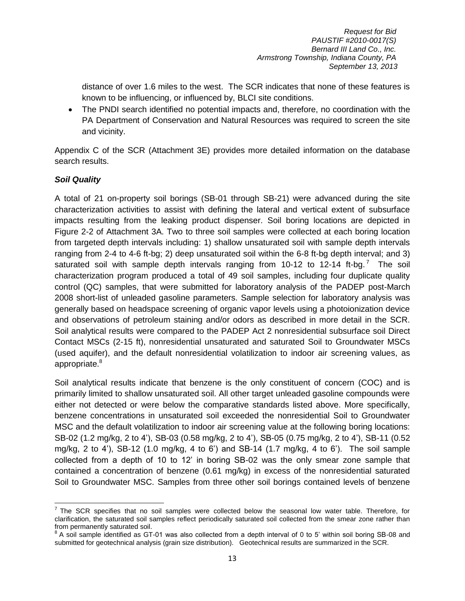distance of over 1.6 miles to the west. The SCR indicates that none of these features is known to be influencing, or influenced by, BLCI site conditions.

 The PNDI search identified no potential impacts and, therefore, no coordination with the PA Department of Conservation and Natural Resources was required to screen the site and vicinity.

Appendix C of the SCR (Attachment 3E) provides more detailed information on the database search results.

## *Soil Quality*

A total of 21 on-property soil borings (SB-01 through SB-21) were advanced during the site characterization activities to assist with defining the lateral and vertical extent of subsurface impacts resulting from the leaking product dispenser. Soil boring locations are depicted in Figure 2-2 of Attachment 3A. Two to three soil samples were collected at each boring location from targeted depth intervals including: 1) shallow unsaturated soil with sample depth intervals ranging from 2-4 to 4-6 ft-bg; 2) deep unsaturated soil within the 6-8 ft-bg depth interval; and 3) saturated soil with sample depth intervals ranging from 10-12 to 12-14 ft-bg.<sup>7</sup> The soil characterization program produced a total of 49 soil samples, including four duplicate quality control (QC) samples, that were submitted for laboratory analysis of the PADEP post-March 2008 short-list of unleaded gasoline parameters. Sample selection for laboratory analysis was generally based on headspace screening of organic vapor levels using a photoionization device and observations of petroleum staining and/or odors as described in more detail in the SCR. Soil analytical results were compared to the PADEP Act 2 nonresidential subsurface soil Direct Contact MSCs (2-15 ft), nonresidential unsaturated and saturated Soil to Groundwater MSCs (used aquifer), and the default nonresidential volatilization to indoor air screening values, as appropriate.<sup>8</sup>

Soil analytical results indicate that benzene is the only constituent of concern (COC) and is primarily limited to shallow unsaturated soil. All other target unleaded gasoline compounds were either not detected or were below the comparative standards listed above. More specifically, benzene concentrations in unsaturated soil exceeded the nonresidential Soil to Groundwater MSC and the default volatilization to indoor air screening value at the following boring locations: SB-02 (1.2 mg/kg, 2 to 4'), SB-03 (0.58 mg/kg, 2 to 4'), SB-05 (0.75 mg/kg, 2 to 4'), SB-11 (0.52 mg/kg, 2 to 4'), SB-12 (1.0 mg/kg, 4 to 6') and SB-14 (1.7 mg/kg, 4 to 6'). The soil sample collected from a depth of 10 to 12' in boring SB-02 was the only smear zone sample that contained a concentration of benzene (0.61 mg/kg) in excess of the nonresidential saturated Soil to Groundwater MSC. Samples from three other soil borings contained levels of benzene

The SCR specifies that no soil samples were collected below the seasonal low water table. Therefore, for clarification, the saturated soil samples reflect periodically saturated soil collected from the smear zone rather than from permanently saturated soil.

 $8$  A soil sample identified as GT-01 was also collected from a depth interval of 0 to 5' within soil boring SB-08 and submitted for geotechnical analysis (grain size distribution). Geotechnical results are summarized in the SCR.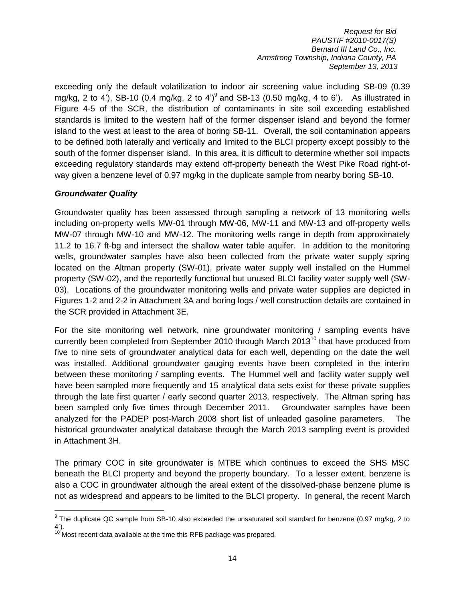exceeding only the default volatilization to indoor air screening value including SB-09 (0.39 mg/kg, 2 to 4'), SB-10 (0.4 mg/kg, 2 to 4')<sup>9</sup> and SB-13 (0.50 mg/kg, 4 to 6'). As illustrated in Figure 4-5 of the SCR, the distribution of contaminants in site soil exceeding established standards is limited to the western half of the former dispenser island and beyond the former island to the west at least to the area of boring SB-11. Overall, the soil contamination appears to be defined both laterally and vertically and limited to the BLCI property except possibly to the south of the former dispenser island. In this area, it is difficult to determine whether soil impacts exceeding regulatory standards may extend off-property beneath the West Pike Road right-ofway given a benzene level of 0.97 mg/kg in the duplicate sample from nearby boring SB-10.

#### *Groundwater Quality*

Groundwater quality has been assessed through sampling a network of 13 monitoring wells including on-property wells MW-01 through MW-06, MW-11 and MW-13 and off-property wells MW-07 through MW-10 and MW-12. The monitoring wells range in depth from approximately 11.2 to 16.7 ft-bg and intersect the shallow water table aquifer. In addition to the monitoring wells, groundwater samples have also been collected from the private water supply spring located on the Altman property (SW-01), private water supply well installed on the Hummel property (SW-02), and the reportedly functional but unused BLCI facility water supply well (SW-03). Locations of the groundwater monitoring wells and private water supplies are depicted in Figures 1-2 and 2-2 in Attachment 3A and boring logs / well construction details are contained in the SCR provided in Attachment 3E.

For the site monitoring well network, nine groundwater monitoring / sampling events have currently been completed from September 2010 through March  $2013<sup>10</sup>$  that have produced from five to nine sets of groundwater analytical data for each well, depending on the date the well was installed. Additional groundwater gauging events have been completed in the interim between these monitoring / sampling events. The Hummel well and facility water supply well have been sampled more frequently and 15 analytical data sets exist for these private supplies through the late first quarter / early second quarter 2013, respectively. The Altman spring has been sampled only five times through December 2011. Groundwater samples have been analyzed for the PADEP post-March 2008 short list of unleaded gasoline parameters. The historical groundwater analytical database through the March 2013 sampling event is provided in Attachment 3H.

The primary COC in site groundwater is MTBE which continues to exceed the SHS MSC beneath the BLCI property and beyond the property boundary. To a lesser extent, benzene is also a COC in groundwater although the areal extent of the dissolved-phase benzene plume is not as widespread and appears to be limited to the BLCI property. In general, the recent March

The duplicate QC sample from SB-10 also exceeded the unsaturated soil standard for benzene (0.97 mg/kg, 2 to 4').

 $10'$  Most recent data available at the time this RFB package was prepared.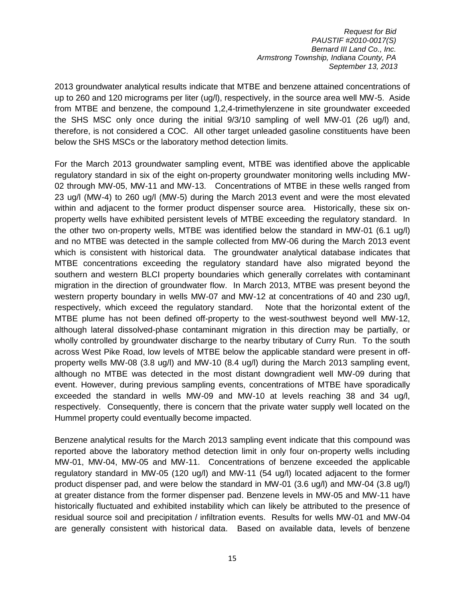2013 groundwater analytical results indicate that MTBE and benzene attained concentrations of up to 260 and 120 micrograms per liter (ug/l), respectively, in the source area well MW-5. Aside from MTBE and benzene, the compound 1,2,4-trimethylenzene in site groundwater exceeded the SHS MSC only once during the initial 9/3/10 sampling of well MW-01 (26 ug/l) and, therefore, is not considered a COC. All other target unleaded gasoline constituents have been below the SHS MSCs or the laboratory method detection limits.

For the March 2013 groundwater sampling event, MTBE was identified above the applicable regulatory standard in six of the eight on-property groundwater monitoring wells including MW-02 through MW-05, MW-11 and MW-13. Concentrations of MTBE in these wells ranged from 23 ug/l (MW-4) to 260 ug/l (MW-5) during the March 2013 event and were the most elevated within and adjacent to the former product dispenser source area. Historically, these six onproperty wells have exhibited persistent levels of MTBE exceeding the regulatory standard. In the other two on-property wells, MTBE was identified below the standard in MW-01 (6.1 ug/l) and no MTBE was detected in the sample collected from MW-06 during the March 2013 event which is consistent with historical data. The groundwater analytical database indicates that MTBE concentrations exceeding the regulatory standard have also migrated beyond the southern and western BLCI property boundaries which generally correlates with contaminant migration in the direction of groundwater flow. In March 2013, MTBE was present beyond the western property boundary in wells MW-07 and MW-12 at concentrations of 40 and 230 ug/l, respectively, which exceed the regulatory standard. Note that the horizontal extent of the MTBE plume has not been defined off-property to the west-southwest beyond well MW-12, although lateral dissolved-phase contaminant migration in this direction may be partially, or wholly controlled by groundwater discharge to the nearby tributary of Curry Run. To the south across West Pike Road, low levels of MTBE below the applicable standard were present in offproperty wells MW-08 (3.8 ug/l) and MW-10 (8.4 ug/l) during the March 2013 sampling event, although no MTBE was detected in the most distant downgradient well MW-09 during that event. However, during previous sampling events, concentrations of MTBE have sporadically exceeded the standard in wells MW-09 and MW-10 at levels reaching 38 and 34 ug/l, respectively. Consequently, there is concern that the private water supply well located on the Hummel property could eventually become impacted.

Benzene analytical results for the March 2013 sampling event indicate that this compound was reported above the laboratory method detection limit in only four on-property wells including MW-01, MW-04, MW-05 and MW-11. Concentrations of benzene exceeded the applicable regulatory standard in MW-05 (120 ug/l) and MW-11 (54 ug/l) located adjacent to the former product dispenser pad, and were below the standard in MW-01 (3.6 ug/l) and MW-04 (3.8 ug/l) at greater distance from the former dispenser pad. Benzene levels in MW-05 and MW-11 have historically fluctuated and exhibited instability which can likely be attributed to the presence of residual source soil and precipitation / infiltration events. Results for wells MW-01 and MW-04 are generally consistent with historical data. Based on available data, levels of benzene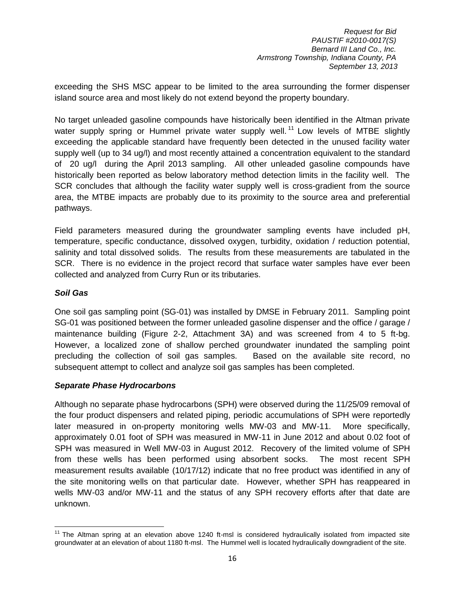exceeding the SHS MSC appear to be limited to the area surrounding the former dispenser island source area and most likely do not extend beyond the property boundary.

No target unleaded gasoline compounds have historically been identified in the Altman private water supply spring or Hummel private water supply well.<sup>11</sup> Low levels of MTBE slightly exceeding the applicable standard have frequently been detected in the unused facility water supply well (up to 34 ug/l) and most recently attained a concentration equivalent to the standard of 20 ug/l during the April 2013 sampling. All other unleaded gasoline compounds have historically been reported as below laboratory method detection limits in the facility well. The SCR concludes that although the facility water supply well is cross-gradient from the source area, the MTBE impacts are probably due to its proximity to the source area and preferential pathways.

Field parameters measured during the groundwater sampling events have included pH, temperature, specific conductance, dissolved oxygen, turbidity, oxidation / reduction potential, salinity and total dissolved solids. The results from these measurements are tabulated in the SCR. There is no evidence in the project record that surface water samples have ever been collected and analyzed from Curry Run or its tributaries.

## *Soil Gas*

One soil gas sampling point (SG-01) was installed by DMSE in February 2011. Sampling point SG-01 was positioned between the former unleaded gasoline dispenser and the office / garage / maintenance building (Figure 2-2, Attachment 3A) and was screened from 4 to 5 ft-bg. However, a localized zone of shallow perched groundwater inundated the sampling point precluding the collection of soil gas samples. Based on the available site record, no subsequent attempt to collect and analyze soil gas samples has been completed.

#### *Separate Phase Hydrocarbons*

Although no separate phase hydrocarbons (SPH) were observed during the 11/25/09 removal of the four product dispensers and related piping, periodic accumulations of SPH were reportedly later measured in on-property monitoring wells MW-03 and MW-11. More specifically, approximately 0.01 foot of SPH was measured in MW-11 in June 2012 and about 0.02 foot of SPH was measured in Well MW-03 in August 2012. Recovery of the limited volume of SPH from these wells has been performed using absorbent socks. The most recent SPH measurement results available (10/17/12) indicate that no free product was identified in any of the site monitoring wells on that particular date. However, whether SPH has reappeared in wells MW-03 and/or MW-11 and the status of any SPH recovery efforts after that date are unknown.

 $\overline{a}$  $11$  The Altman spring at an elevation above 1240 ft-msl is considered hydraulically isolated from impacted site groundwater at an elevation of about 1180 ft-msl. The Hummel well is located hydraulically downgradient of the site.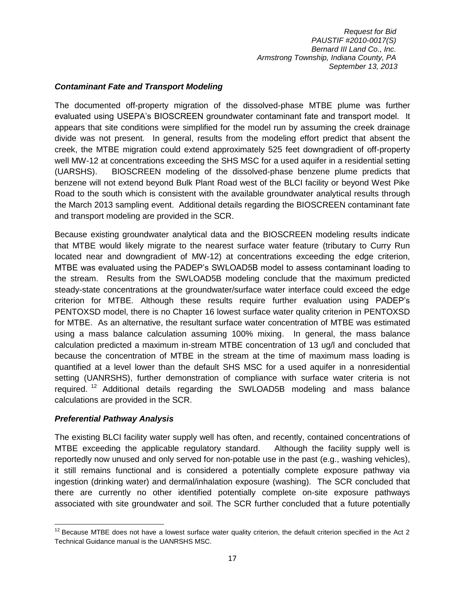#### *Contaminant Fate and Transport Modeling*

The documented off-property migration of the dissolved-phase MTBE plume was further evaluated using USEPA's BIOSCREEN groundwater contaminant fate and transport model. It appears that site conditions were simplified for the model run by assuming the creek drainage divide was not present. In general, results from the modeling effort predict that absent the creek, the MTBE migration could extend approximately 525 feet downgradient of off-property well MW-12 at concentrations exceeding the SHS MSC for a used aquifer in a residential setting (UARSHS). BIOSCREEN modeling of the dissolved-phase benzene plume predicts that benzene will not extend beyond Bulk Plant Road west of the BLCI facility or beyond West Pike Road to the south which is consistent with the available groundwater analytical results through the March 2013 sampling event. Additional details regarding the BIOSCREEN contaminant fate and transport modeling are provided in the SCR.

Because existing groundwater analytical data and the BIOSCREEN modeling results indicate that MTBE would likely migrate to the nearest surface water feature (tributary to Curry Run located near and downgradient of MW-12) at concentrations exceeding the edge criterion, MTBE was evaluated using the PADEP's SWLOAD5B model to assess contaminant loading to the stream. Results from the SWLOAD5B modeling conclude that the maximum predicted steady-state concentrations at the groundwater/surface water interface could exceed the edge criterion for MTBE. Although these results require further evaluation using PADEP's PENTOXSD model, there is no Chapter 16 lowest surface water quality criterion in PENTOXSD for MTBE. As an alternative, the resultant surface water concentration of MTBE was estimated using a mass balance calculation assuming 100% mixing. In general, the mass balance calculation predicted a maximum in-stream MTBE concentration of 13 ug/l and concluded that because the concentration of MTBE in the stream at the time of maximum mass loading is quantified at a level lower than the default SHS MSC for a used aquifer in a nonresidential setting (UANRSHS), further demonstration of compliance with surface water criteria is not required.<sup>12</sup> Additional details regarding the SWLOAD5B modeling and mass balance calculations are provided in the SCR.

#### *Preferential Pathway Analysis*

 $\overline{\phantom{a}}$ 

The existing BLCI facility water supply well has often, and recently, contained concentrations of MTBE exceeding the applicable regulatory standard. Although the facility supply well is reportedly now unused and only served for non-potable use in the past (e.g., washing vehicles), it still remains functional and is considered a potentially complete exposure pathway via ingestion (drinking water) and dermal/inhalation exposure (washing). The SCR concluded that there are currently no other identified potentially complete on-site exposure pathways associated with site groundwater and soil. The SCR further concluded that a future potentially

 $12$  Because MTBE does not have a lowest surface water quality criterion, the default criterion specified in the Act 2 Technical Guidance manual is the UANRSHS MSC.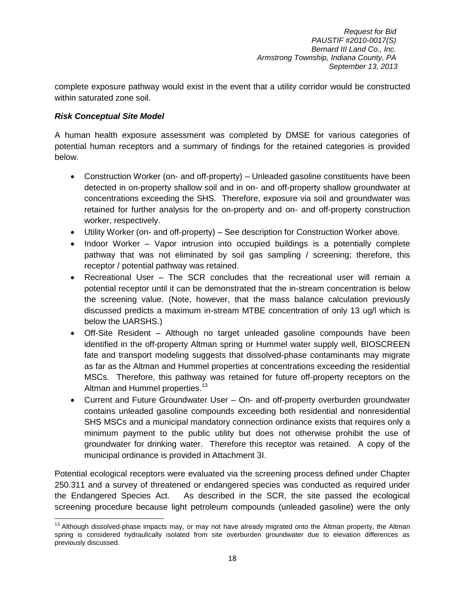complete exposure pathway would exist in the event that a utility corridor would be constructed within saturated zone soil.

## *Risk Conceptual Site Model*

A human health exposure assessment was completed by DMSE for various categories of potential human receptors and a summary of findings for the retained categories is provided below.

- Construction Worker (on- and off-property) Unleaded gasoline constituents have been detected in on-property shallow soil and in on- and off-property shallow groundwater at concentrations exceeding the SHS. Therefore, exposure via soil and groundwater was retained for further analysis for the on-property and on- and off-property construction worker, respectively.
- Utility Worker (on- and off-property) See description for Construction Worker above.
- Indoor Worker Vapor intrusion into occupied buildings is a potentially complete pathway that was not eliminated by soil gas sampling / screening; therefore, this receptor / potential pathway was retained.
- Recreational User The SCR concludes that the recreational user will remain a potential receptor until it can be demonstrated that the in-stream concentration is below the screening value. (Note, however, that the mass balance calculation previously discussed predicts a maximum in-stream MTBE concentration of only 13 ug/l which is below the UARSHS.)
- Off-Site Resident Although no target unleaded gasoline compounds have been identified in the off-property Altman spring or Hummel water supply well, BIOSCREEN fate and transport modeling suggests that dissolved-phase contaminants may migrate as far as the Altman and Hummel properties at concentrations exceeding the residential MSCs. Therefore, this pathway was retained for future off-property receptors on the Altman and Hummel properties.<sup>13</sup>
- Current and Future Groundwater User On- and off-property overburden groundwater contains unleaded gasoline compounds exceeding both residential and nonresidential SHS MSCs and a municipal mandatory connection ordinance exists that requires only a minimum payment to the public utility but does not otherwise prohibit the use of groundwater for drinking water. Therefore this receptor was retained. A copy of the municipal ordinance is provided in Attachment 3I.

Potential ecological receptors were evaluated via the screening process defined under Chapter 250.311 and a survey of threatened or endangered species was conducted as required under the Endangered Species Act. As described in the SCR, the site passed the ecological screening procedure because light petroleum compounds (unleaded gasoline) were the only

l <sup>13</sup> Although dissolved-phase impacts may, or may not have already migrated onto the Altman property, the Altman spring is considered hydraulically isolated from site overburden groundwater due to elevation differences as previously discussed.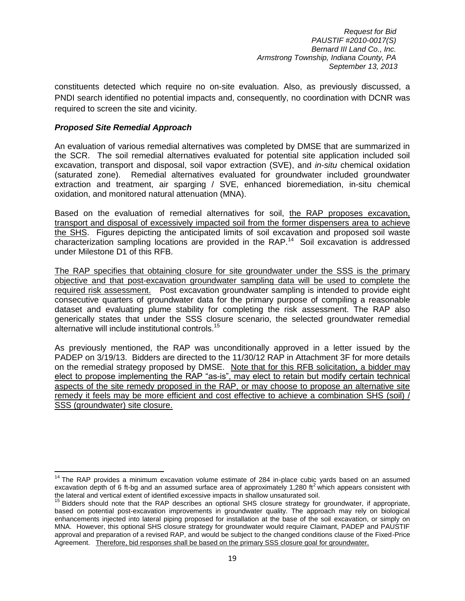constituents detected which require no on-site evaluation. Also, as previously discussed, a PNDI search identified no potential impacts and, consequently, no coordination with DCNR was required to screen the site and vicinity.

#### *Proposed Site Remedial Approach*

 $\overline{\phantom{a}}$ 

An evaluation of various remedial alternatives was completed by DMSE that are summarized in the SCR. The soil remedial alternatives evaluated for potential site application included soil excavation, transport and disposal, soil vapor extraction (SVE), and *in-situ* chemical oxidation (saturated zone). Remedial alternatives evaluated for groundwater included groundwater extraction and treatment, air sparging / SVE, enhanced bioremediation, in-situ chemical oxidation, and monitored natural attenuation (MNA).

Based on the evaluation of remedial alternatives for soil, the RAP proposes excavation, transport and disposal of excessively impacted soil from the former dispensers area to achieve the SHS. Figures depicting the anticipated limits of soil excavation and proposed soil waste characterization sampling locations are provided in the RAP.<sup>14</sup> Soil excavation is addressed under Milestone D1 of this RFB.

The RAP specifies that obtaining closure for site groundwater under the SSS is the primary objective and that post-excavation groundwater sampling data will be used to complete the required risk assessment. Post excavation groundwater sampling is intended to provide eight consecutive quarters of groundwater data for the primary purpose of compiling a reasonable dataset and evaluating plume stability for completing the risk assessment. The RAP also generically states that under the SSS closure scenario, the selected groundwater remedial alternative will include institutional controls.<sup>15</sup>

As previously mentioned, the RAP was unconditionally approved in a letter issued by the PADEP on 3/19/13. Bidders are directed to the 11/30/12 RAP in Attachment 3F for more details on the remedial strategy proposed by DMSE. Note that for this RFB solicitation, a bidder may elect to propose implementing the RAP "as-is", may elect to retain but modify certain technical aspects of the site remedy proposed in the RAP, or may choose to propose an alternative site remedy it feels may be more efficient and cost effective to achieve a combination SHS (soil) / SSS (groundwater) site closure.

 $14$  The RAP provides a minimum excavation volume estimate of 284 in-place cubic yards based on an assumed excavation depth of 6 ft-bg and an assumed surface area of approximately 1,280 ft<sup>2</sup> which appears consistent with the lateral and vertical extent of identified excessive impacts in shallow unsaturated soil.

<sup>&</sup>lt;sup>15</sup> Bidders should note that the RAP describes an optional SHS closure strategy for groundwater, if appropriate, based on potential post-excavation improvements in groundwater quality. The approach may rely on biological enhancements injected into lateral piping proposed for installation at the base of the soil excavation, or simply on MNA. However, this optional SHS closure strategy for groundwater would require Claimant, PADEP and PAUSTIF approval and preparation of a revised RAP, and would be subject to the changed conditions clause of the Fixed-Price Agreement. Therefore, bid responses shall be based on the primary SSS closure goal for groundwater.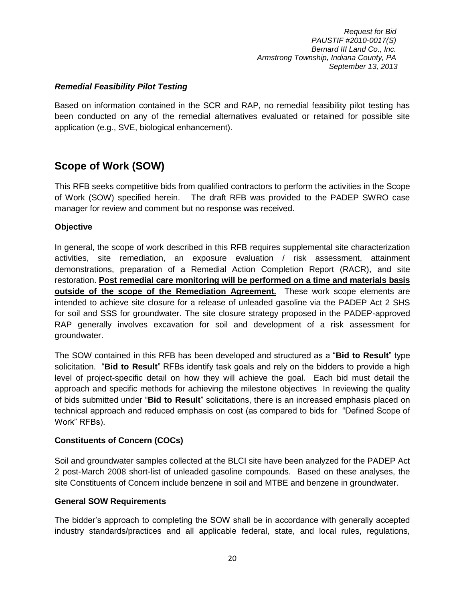#### *Remedial Feasibility Pilot Testing*

Based on information contained in the SCR and RAP, no remedial feasibility pilot testing has been conducted on any of the remedial alternatives evaluated or retained for possible site application (e.g., SVE, biological enhancement).

## <span id="page-21-0"></span>**Scope of Work (SOW)**

This RFB seeks competitive bids from qualified contractors to perform the activities in the Scope of Work (SOW) specified herein. The draft RFB was provided to the PADEP SWRO case manager for review and comment but no response was received.

## <span id="page-21-1"></span>**Objective**

In general, the scope of work described in this RFB requires supplemental site characterization activities, site remediation, an exposure evaluation / risk assessment, attainment demonstrations, preparation of a Remedial Action Completion Report (RACR), and site restoration. **Post remedial care monitoring will be performed on a time and materials basis outside of the scope of the Remediation Agreement.** These work scope elements are intended to achieve site closure for a release of unleaded gasoline via the PADEP Act 2 SHS for soil and SSS for groundwater. The site closure strategy proposed in the PADEP-approved RAP generally involves excavation for soil and development of a risk assessment for groundwater.

The SOW contained in this RFB has been developed and structured as a "**Bid to Result**" type solicitation. "**Bid to Result**" RFBs identify task goals and rely on the bidders to provide a high level of project-specific detail on how they will achieve the goal. Each bid must detail the approach and specific methods for achieving the milestone objectives In reviewing the quality of bids submitted under "**Bid to Result**" solicitations, there is an increased emphasis placed on technical approach and reduced emphasis on cost (as compared to bids for "Defined Scope of Work" RFBs).

#### <span id="page-21-2"></span>**Constituents of Concern (COCs)**

Soil and groundwater samples collected at the BLCI site have been analyzed for the PADEP Act 2 post-March 2008 short-list of unleaded gasoline compounds. Based on these analyses, the site Constituents of Concern include benzene in soil and MTBE and benzene in groundwater.

#### <span id="page-21-3"></span>**General SOW Requirements**

The bidder's approach to completing the SOW shall be in accordance with generally accepted industry standards/practices and all applicable federal, state, and local rules, regulations,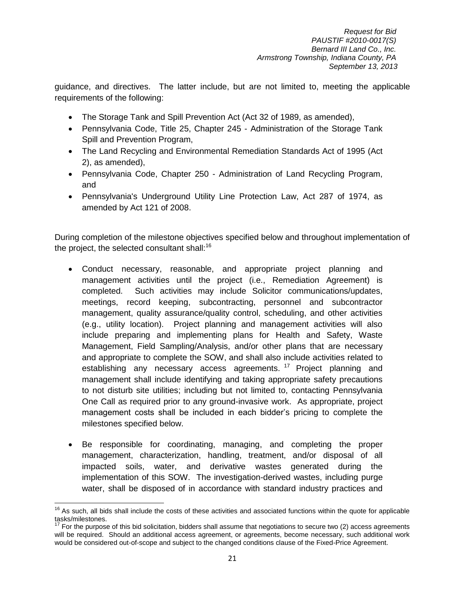guidance, and directives. The latter include, but are not limited to, meeting the applicable requirements of the following:

- The Storage Tank and Spill Prevention Act (Act 32 of 1989, as amended),
- Pennsylvania Code, Title 25, Chapter 245 Administration of the Storage Tank Spill and Prevention Program,
- The Land Recycling and Environmental Remediation Standards Act of 1995 (Act 2), as amended),
- Pennsylvania Code, Chapter 250 Administration of Land Recycling Program, and
- Pennsylvania's Underground Utility Line Protection Law, Act 287 of 1974, as amended by Act 121 of 2008.

During completion of the milestone objectives specified below and throughout implementation of the project, the selected consultant shall: $16$ 

- Conduct necessary, reasonable, and appropriate project planning and management activities until the project (i.e., Remediation Agreement) is completed. Such activities may include Solicitor communications/updates, meetings, record keeping, subcontracting, personnel and subcontractor management, quality assurance/quality control, scheduling, and other activities (e.g., utility location). Project planning and management activities will also include preparing and implementing plans for Health and Safety, Waste Management, Field Sampling/Analysis, and/or other plans that are necessary and appropriate to complete the SOW, and shall also include activities related to establishing any necessary access agreements.<sup>17</sup> Project planning and management shall include identifying and taking appropriate safety precautions to not disturb site utilities; including but not limited to, contacting Pennsylvania One Call as required prior to any ground-invasive work. As appropriate, project management costs shall be included in each bidder's pricing to complete the milestones specified below.
- Be responsible for coordinating, managing, and completing the proper management, characterization, handling, treatment, and/or disposal of all impacted soils, water, and derivative wastes generated during the implementation of this SOW. The investigation-derived wastes, including purge water, shall be disposed of in accordance with standard industry practices and

l  $16$  As such, all bids shall include the costs of these activities and associated functions within the quote for applicable tasks/milestones.

<sup>&</sup>lt;sup>17</sup> For the purpose of this bid solicitation, bidders shall assume that negotiations to secure two (2) access agreements will be required. Should an additional access agreement, or agreements, become necessary, such additional work would be considered out-of-scope and subject to the changed conditions clause of the Fixed-Price Agreement.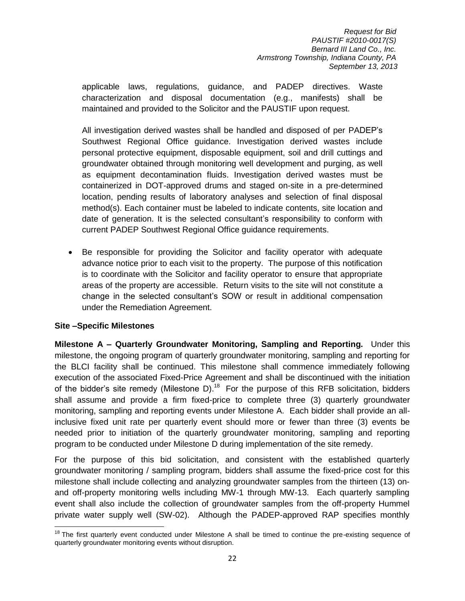applicable laws, regulations, guidance, and PADEP directives. Waste characterization and disposal documentation (e.g., manifests) shall be maintained and provided to the Solicitor and the PAUSTIF upon request.

All investigation derived wastes shall be handled and disposed of per PADEP's Southwest Regional Office guidance. Investigation derived wastes include personal protective equipment, disposable equipment, soil and drill cuttings and groundwater obtained through monitoring well development and purging, as well as equipment decontamination fluids. Investigation derived wastes must be containerized in DOT-approved drums and staged on-site in a pre-determined location, pending results of laboratory analyses and selection of final disposal method(s). Each container must be labeled to indicate contents, site location and date of generation. It is the selected consultant's responsibility to conform with current PADEP Southwest Regional Office guidance requirements.

 Be responsible for providing the Solicitor and facility operator with adequate advance notice prior to each visit to the property. The purpose of this notification is to coordinate with the Solicitor and facility operator to ensure that appropriate areas of the property are accessible. Return visits to the site will not constitute a change in the selected consultant's SOW or result in additional compensation under the Remediation Agreement.

#### <span id="page-23-0"></span>**Site –Specific Milestones**

<span id="page-23-1"></span>**Milestone A – Quarterly Groundwater Monitoring, Sampling and Reporting.** Under this milestone, the ongoing program of quarterly groundwater monitoring, sampling and reporting for the BLCI facility shall be continued. This milestone shall commence immediately following execution of the associated Fixed-Price Agreement and shall be discontinued with the initiation of the bidder's site remedy (Milestone D).<sup>18</sup> For the purpose of this RFB solicitation, bidders shall assume and provide a firm fixed-price to complete three (3) quarterly groundwater monitoring, sampling and reporting events under Milestone A. Each bidder shall provide an allinclusive fixed unit rate per quarterly event should more or fewer than three (3) events be needed prior to initiation of the quarterly groundwater monitoring, sampling and reporting program to be conducted under Milestone D during implementation of the site remedy.

For the purpose of this bid solicitation, and consistent with the established quarterly groundwater monitoring / sampling program, bidders shall assume the fixed-price cost for this milestone shall include collecting and analyzing groundwater samples from the thirteen (13) onand off-property monitoring wells including MW-1 through MW-13. Each quarterly sampling event shall also include the collection of groundwater samples from the off-property Hummel private water supply well (SW-02). Although the PADEP-approved RAP specifies monthly

 $\overline{a}$ <sup>18</sup> The first quarterly event conducted under Milestone A shall be timed to continue the pre-existing sequence of quarterly groundwater monitoring events without disruption.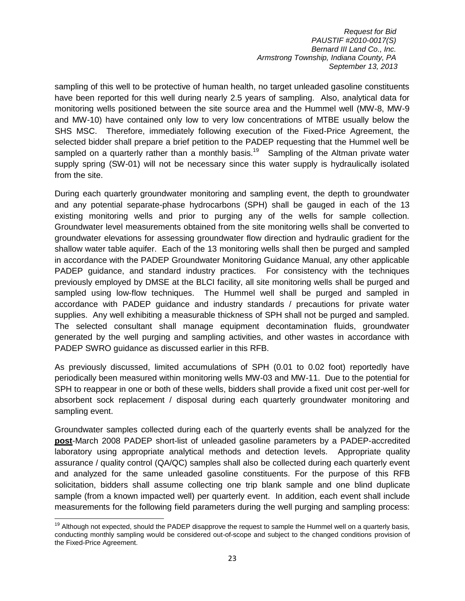sampling of this well to be protective of human health, no target unleaded gasoline constituents have been reported for this well during nearly 2.5 years of sampling. Also, analytical data for monitoring wells positioned between the site source area and the Hummel well (MW-8, MW-9 and MW-10) have contained only low to very low concentrations of MTBE usually below the SHS MSC. Therefore, immediately following execution of the Fixed-Price Agreement, the selected bidder shall prepare a brief petition to the PADEP requesting that the Hummel well be sampled on a quarterly rather than a monthly basis.<sup>19</sup> Sampling of the Altman private water supply spring (SW-01) will not be necessary since this water supply is hydraulically isolated from the site.

During each quarterly groundwater monitoring and sampling event, the depth to groundwater and any potential separate-phase hydrocarbons (SPH) shall be gauged in each of the 13 existing monitoring wells and prior to purging any of the wells for sample collection. Groundwater level measurements obtained from the site monitoring wells shall be converted to groundwater elevations for assessing groundwater flow direction and hydraulic gradient for the shallow water table aquifer. Each of the 13 monitoring wells shall then be purged and sampled in accordance with the PADEP Groundwater Monitoring Guidance Manual, any other applicable PADEP guidance, and standard industry practices. For consistency with the techniques previously employed by DMSE at the BLCI facility, all site monitoring wells shall be purged and sampled using low-flow techniques. The Hummel well shall be purged and sampled in accordance with PADEP guidance and industry standards / precautions for private water supplies. Any well exhibiting a measurable thickness of SPH shall not be purged and sampled. The selected consultant shall manage equipment decontamination fluids, groundwater generated by the well purging and sampling activities, and other wastes in accordance with PADEP SWRO guidance as discussed earlier in this RFB.

As previously discussed, limited accumulations of SPH (0.01 to 0.02 foot) reportedly have periodically been measured within monitoring wells MW-03 and MW-11. Due to the potential for SPH to reappear in one or both of these wells, bidders shall provide a fixed unit cost per-well for absorbent sock replacement / disposal during each quarterly groundwater monitoring and sampling event.

Groundwater samples collected during each of the quarterly events shall be analyzed for the **post**-March 2008 PADEP short-list of unleaded gasoline parameters by a PADEP-accredited laboratory using appropriate analytical methods and detection levels. Appropriate quality assurance / quality control (QA/QC) samples shall also be collected during each quarterly event and analyzed for the same unleaded gasoline constituents. For the purpose of this RFB solicitation, bidders shall assume collecting one trip blank sample and one blind duplicate sample (from a known impacted well) per quarterly event. In addition, each event shall include measurements for the following field parameters during the well purging and sampling process:

l

 $19$  Although not expected, should the PADEP disapprove the request to sample the Hummel well on a quarterly basis, conducting monthly sampling would be considered out-of-scope and subject to the changed conditions provision of the Fixed-Price Agreement.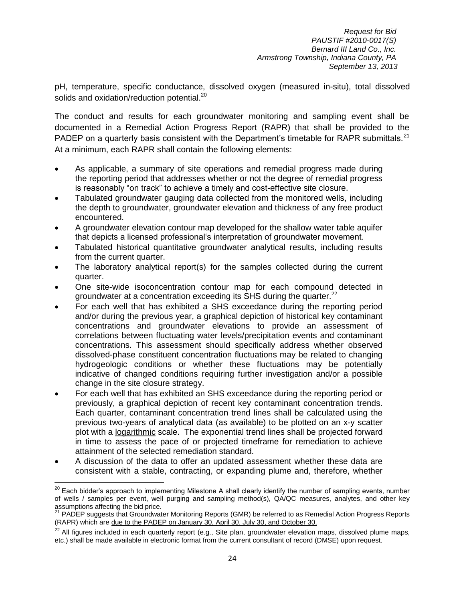pH, temperature, specific conductance, dissolved oxygen (measured in-situ), total dissolved solids and oxidation/reduction potential.<sup>20</sup>

The conduct and results for each groundwater monitoring and sampling event shall be documented in a Remedial Action Progress Report (RAPR) that shall be provided to the PADEP on a quarterly basis consistent with the Department's timetable for RAPR submittals.<sup>21</sup> At a minimum, each RAPR shall contain the following elements:

- As applicable, a summary of site operations and remedial progress made during the reporting period that addresses whether or not the degree of remedial progress is reasonably "on track" to achieve a timely and cost-effective site closure.
- Tabulated groundwater gauging data collected from the monitored wells, including the depth to groundwater, groundwater elevation and thickness of any free product encountered.
- A groundwater elevation contour map developed for the shallow water table aquifer that depicts a licensed professional's interpretation of groundwater movement.
- Tabulated historical quantitative groundwater analytical results, including results from the current quarter.
- The laboratory analytical report(s) for the samples collected during the current quarter.
- One site-wide isoconcentration contour map for each compound detected in groundwater at a concentration exceeding its SHS during the quarter. $^{22}$
- For each well that has exhibited a SHS exceedance during the reporting period and/or during the previous year, a graphical depiction of historical key contaminant concentrations and groundwater elevations to provide an assessment of correlations between fluctuating water levels/precipitation events and contaminant concentrations. This assessment should specifically address whether observed dissolved-phase constituent concentration fluctuations may be related to changing hydrogeologic conditions or whether these fluctuations may be potentially indicative of changed conditions requiring further investigation and/or a possible change in the site closure strategy.
- For each well that has exhibited an SHS exceedance during the reporting period or previously, a graphical depiction of recent key contaminant concentration trends. Each quarter, contaminant concentration trend lines shall be calculated using the previous two-years of analytical data (as available) to be plotted on an x-y scatter plot with a logarithmic scale. The exponential trend lines shall be projected forward in time to assess the pace of or projected timeframe for remediation to achieve attainment of the selected remediation standard.
- A discussion of the data to offer an updated assessment whether these data are consistent with a stable, contracting, or expanding plume and, therefore, whether

 $\overline{a}$ 

<sup>&</sup>lt;sup>20</sup> Each bidder's approach to implementing Milestone A shall clearly identify the number of sampling events, number of wells / samples per event, well purging and sampling method(s), QA/QC measures, analytes, and other key assumptions affecting the bid price.

<sup>&</sup>lt;sup>21</sup> PADEP suggests that Groundwater Monitoring Reports (GMR) be referred to as Remedial Action Progress Reports (RAPR) which are due to the PADEP on January 30, April 30, July 30, and October 30.

 $^{22}$  All figures included in each quarterly report (e.g., Site plan, groundwater elevation maps, dissolved plume maps, etc.) shall be made available in electronic format from the current consultant of record (DMSE) upon request.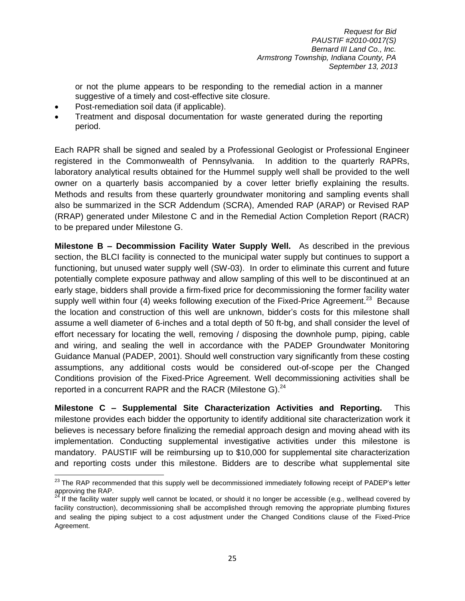or not the plume appears to be responding to the remedial action in a manner suggestive of a timely and cost-effective site closure.

- Post-remediation soil data (if applicable).
- Treatment and disposal documentation for waste generated during the reporting period.

Each RAPR shall be signed and sealed by a Professional Geologist or Professional Engineer registered in the Commonwealth of Pennsylvania. In addition to the quarterly RAPRs, laboratory analytical results obtained for the Hummel supply well shall be provided to the well owner on a quarterly basis accompanied by a cover letter briefly explaining the results. Methods and results from these quarterly groundwater monitoring and sampling events shall also be summarized in the SCR Addendum (SCRA), Amended RAP (ARAP) or Revised RAP (RRAP) generated under Milestone C and in the Remedial Action Completion Report (RACR) to be prepared under Milestone G.

**Milestone B – Decommission Facility Water Supply Well.** As described in the previous section, the BLCI facility is connected to the municipal water supply but continues to support a functioning, but unused water supply well (SW-03). In order to eliminate this current and future potentially complete exposure pathway and allow sampling of this well to be discontinued at an early stage, bidders shall provide a firm-fixed price for decommissioning the former facility water supply well within four (4) weeks following execution of the Fixed-Price Agreement.<sup>23</sup> Because the location and construction of this well are unknown, bidder's costs for this milestone shall assume a well diameter of 6-inches and a total depth of 50 ft-bg, and shall consider the level of effort necessary for locating the well, removing / disposing the downhole pump, piping, cable and wiring, and sealing the well in accordance with the PADEP Groundwater Monitoring Guidance Manual (PADEP, 2001). Should well construction vary significantly from these costing assumptions, any additional costs would be considered out-of-scope per the Changed Conditions provision of the Fixed-Price Agreement. Well decommissioning activities shall be reported in a concurrent RAPR and the RACR (Milestone G).<sup>24</sup>

**Milestone C – Supplemental Site Characterization Activities and Reporting.** This milestone provides each bidder the opportunity to identify additional site characterization work it believes is necessary before finalizing the remedial approach design and moving ahead with its implementation. Conducting supplemental investigative activities under this milestone is mandatory. PAUSTIF will be reimbursing up to \$10,000 for supplemental site characterization and reporting costs under this milestone. Bidders are to describe what supplemental site

 $\overline{\phantom{a}}$ <sup>23</sup> The RAP recommended that this supply well be decommissioned immediately following receipt of PADEP's letter approving the RAP.

 $24$  If the facility water supply well cannot be located, or should it no longer be accessible (e.g., wellhead covered by facility construction), decommissioning shall be accomplished through removing the appropriate plumbing fixtures and sealing the piping subject to a cost adjustment under the Changed Conditions clause of the Fixed-Price Agreement.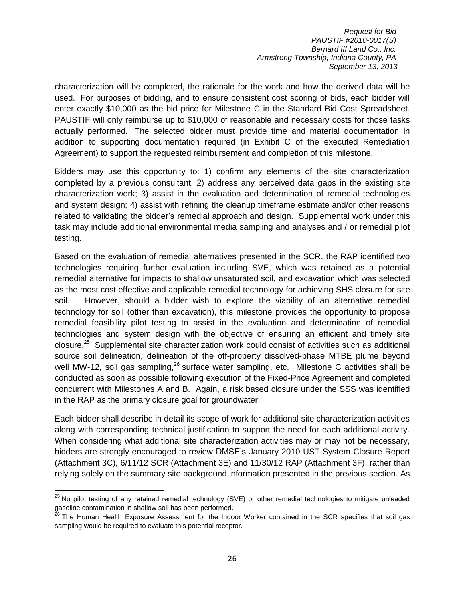characterization will be completed, the rationale for the work and how the derived data will be used. For purposes of bidding, and to ensure consistent cost scoring of bids, each bidder will enter exactly \$10,000 as the bid price for Milestone C in the Standard Bid Cost Spreadsheet. PAUSTIF will only reimburse up to \$10,000 of reasonable and necessary costs for those tasks actually performed. The selected bidder must provide time and material documentation in addition to supporting documentation required (in Exhibit C of the executed Remediation Agreement) to support the requested reimbursement and completion of this milestone.

Bidders may use this opportunity to: 1) confirm any elements of the site characterization completed by a previous consultant; 2) address any perceived data gaps in the existing site characterization work; 3) assist in the evaluation and determination of remedial technologies and system design; 4) assist with refining the cleanup timeframe estimate and/or other reasons related to validating the bidder's remedial approach and design. Supplemental work under this task may include additional environmental media sampling and analyses and / or remedial pilot testing.

Based on the evaluation of remedial alternatives presented in the SCR, the RAP identified two technologies requiring further evaluation including SVE, which was retained as a potential remedial alternative for impacts to shallow unsaturated soil, and excavation which was selected as the most cost effective and applicable remedial technology for achieving SHS closure for site soil. However, should a bidder wish to explore the viability of an alternative remedial technology for soil (other than excavation), this milestone provides the opportunity to propose remedial feasibility pilot testing to assist in the evaluation and determination of remedial technologies and system design with the objective of ensuring an efficient and timely site closure.<sup>25</sup> Supplemental site characterization work could consist of activities such as additional source soil delineation, delineation of the off-property dissolved-phase MTBE plume beyond well MW-12, soil gas sampling, $^{26}$  surface water sampling, etc. Milestone C activities shall be conducted as soon as possible following execution of the Fixed-Price Agreement and completed concurrent with Milestones A and B. Again, a risk based closure under the SSS was identified in the RAP as the primary closure goal for groundwater.

Each bidder shall describe in detail its scope of work for additional site characterization activities along with corresponding technical justification to support the need for each additional activity. When considering what additional site characterization activities may or may not be necessary, bidders are strongly encouraged to review DMSE's January 2010 UST System Closure Report (Attachment 3C), 6/11/12 SCR (Attachment 3E) and 11/30/12 RAP (Attachment 3F), rather than relying solely on the summary site background information presented in the previous section. As

 $\overline{a}$ 

 $^{25}$  No pilot testing of any retained remedial technology (SVE) or other remedial technologies to mitigate unleaded gasoline contamination in shallow soil has been performed.

<sup>&</sup>lt;sup>26</sup> The Human Health Exposure Assessment for the Indoor Worker contained in the SCR specifies that soil gas sampling would be required to evaluate this potential receptor.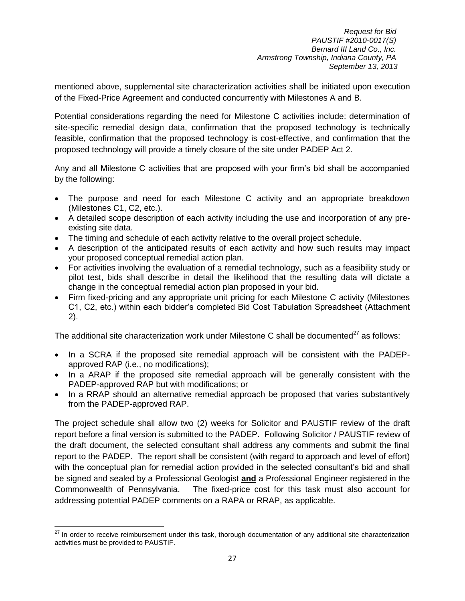mentioned above, supplemental site characterization activities shall be initiated upon execution of the Fixed-Price Agreement and conducted concurrently with Milestones A and B.

Potential considerations regarding the need for Milestone C activities include: determination of site-specific remedial design data, confirmation that the proposed technology is technically feasible, confirmation that the proposed technology is cost-effective, and confirmation that the proposed technology will provide a timely closure of the site under PADEP Act 2.

Any and all Milestone C activities that are proposed with your firm's bid shall be accompanied by the following:

- The purpose and need for each Milestone C activity and an appropriate breakdown (Milestones C1, C2, etc.).
- A detailed scope description of each activity including the use and incorporation of any preexisting site data.
- The timing and schedule of each activity relative to the overall project schedule.
- A description of the anticipated results of each activity and how such results may impact your proposed conceptual remedial action plan.
- For activities involving the evaluation of a remedial technology, such as a feasibility study or pilot test, bids shall describe in detail the likelihood that the resulting data will dictate a change in the conceptual remedial action plan proposed in your bid.
- Firm fixed-pricing and any appropriate unit pricing for each Milestone C activity (Milestones C1, C2, etc.) within each bidder's completed Bid Cost Tabulation Spreadsheet (Attachment 2).

The additional site characterization work under Milestone C shall be documented<sup>27</sup> as follows:

- In a SCRA if the proposed site remedial approach will be consistent with the PADEPapproved RAP (i.e., no modifications);
- In a ARAP if the proposed site remedial approach will be generally consistent with the PADEP-approved RAP but with modifications; or
- In a RRAP should an alternative remedial approach be proposed that varies substantively from the PADEP-approved RAP.

The project schedule shall allow two (2) weeks for Solicitor and PAUSTIF review of the draft report before a final version is submitted to the PADEP. Following Solicitor / PAUSTIF review of the draft document, the selected consultant shall address any comments and submit the final report to the PADEP. The report shall be consistent (with regard to approach and level of effort) with the conceptual plan for remedial action provided in the selected consultant's bid and shall be signed and sealed by a Professional Geologist **and** a Professional Engineer registered in the Commonwealth of Pennsylvania. The fixed-price cost for this task must also account for addressing potential PADEP comments on a RAPA or RRAP, as applicable.

 $\overline{a}$ 

 $27$  In order to receive reimbursement under this task, thorough documentation of any additional site characterization activities must be provided to PAUSTIF.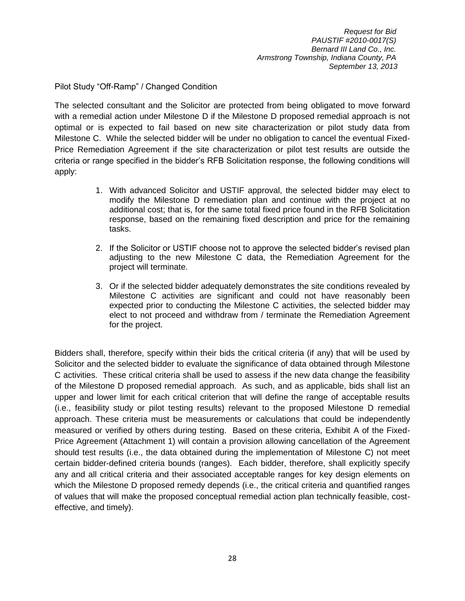Pilot Study "Off-Ramp" / Changed Condition

The selected consultant and the Solicitor are protected from being obligated to move forward with a remedial action under Milestone D if the Milestone D proposed remedial approach is not optimal or is expected to fail based on new site characterization or pilot study data from Milestone C. While the selected bidder will be under no obligation to cancel the eventual Fixed-Price Remediation Agreement if the site characterization or pilot test results are outside the criteria or range specified in the bidder's RFB Solicitation response, the following conditions will apply:

- 1. With advanced Solicitor and USTIF approval, the selected bidder may elect to modify the Milestone D remediation plan and continue with the project at no additional cost; that is, for the same total fixed price found in the RFB Solicitation response, based on the remaining fixed description and price for the remaining tasks.
- 2. If the Solicitor or USTIF choose not to approve the selected bidder's revised plan adjusting to the new Milestone C data, the Remediation Agreement for the project will terminate.
- 3. Or if the selected bidder adequately demonstrates the site conditions revealed by Milestone C activities are significant and could not have reasonably been expected prior to conducting the Milestone C activities, the selected bidder may elect to not proceed and withdraw from / terminate the Remediation Agreement for the project.

Bidders shall, therefore, specify within their bids the critical criteria (if any) that will be used by Solicitor and the selected bidder to evaluate the significance of data obtained through Milestone C activities. These critical criteria shall be used to assess if the new data change the feasibility of the Milestone D proposed remedial approach. As such, and as applicable, bids shall list an upper and lower limit for each critical criterion that will define the range of acceptable results (i.e., feasibility study or pilot testing results) relevant to the proposed Milestone D remedial approach. These criteria must be measurements or calculations that could be independently measured or verified by others during testing. Based on these criteria, Exhibit A of the Fixed-Price Agreement (Attachment 1) will contain a provision allowing cancellation of the Agreement should test results (i.e., the data obtained during the implementation of Milestone C) not meet certain bidder-defined criteria bounds (ranges). Each bidder, therefore, shall explicitly specify any and all critical criteria and their associated acceptable ranges for key design elements on which the Milestone D proposed remedy depends (i.e., the critical criteria and quantified ranges of values that will make the proposed conceptual remedial action plan technically feasible, costeffective, and timely).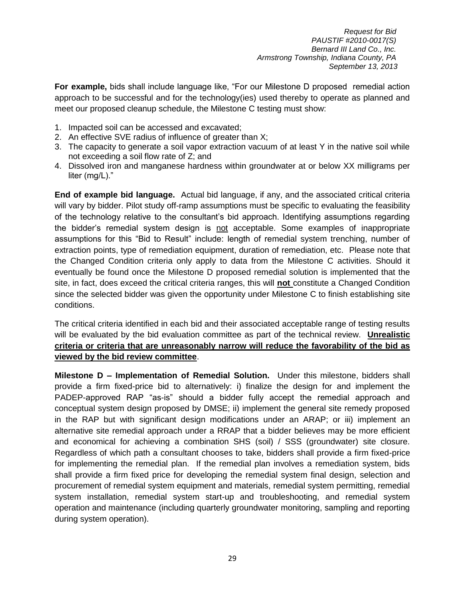**For example,** bids shall include language like, "For our Milestone D proposed remedial action approach to be successful and for the technology(ies) used thereby to operate as planned and meet our proposed cleanup schedule, the Milestone C testing must show:

- 1. Impacted soil can be accessed and excavated;
- 2. An effective SVE radius of influence of greater than X;
- 3. The capacity to generate a soil vapor extraction vacuum of at least Y in the native soil while not exceeding a soil flow rate of Z; and
- 4. Dissolved iron and manganese hardness within groundwater at or below XX milligrams per liter (mg/L)."

**End of example bid language.** Actual bid language, if any, and the associated critical criteria will vary by bidder. Pilot study off-ramp assumptions must be specific to evaluating the feasibility of the technology relative to the consultant's bid approach. Identifying assumptions regarding the bidder's remedial system design is not acceptable. Some examples of inappropriate assumptions for this "Bid to Result" include: length of remedial system trenching, number of extraction points, type of remediation equipment, duration of remediation, etc. Please note that the Changed Condition criteria only apply to data from the Milestone C activities. Should it eventually be found once the Milestone D proposed remedial solution is implemented that the site, in fact, does exceed the critical criteria ranges, this will **not** constitute a Changed Condition since the selected bidder was given the opportunity under Milestone C to finish establishing site conditions.

The critical criteria identified in each bid and their associated acceptable range of testing results will be evaluated by the bid evaluation committee as part of the technical review. **Unrealistic criteria or criteria that are unreasonably narrow will reduce the favorability of the bid as viewed by the bid review committee**.

**Milestone D – Implementation of Remedial Solution.** Under this milestone, bidders shall provide a firm fixed-price bid to alternatively: i) finalize the design for and implement the PADEP-approved RAP "as-is" should a bidder fully accept the remedial approach and conceptual system design proposed by DMSE; ii) implement the general site remedy proposed in the RAP but with significant design modifications under an ARAP; or iii) implement an alternative site remedial approach under a RRAP that a bidder believes may be more efficient and economical for achieving a combination SHS (soil) / SSS (groundwater) site closure. Regardless of which path a consultant chooses to take, bidders shall provide a firm fixed-price for implementing the remedial plan. If the remedial plan involves a remediation system, bids shall provide a firm fixed price for developing the remedial system final design, selection and procurement of remedial system equipment and materials, remedial system permitting, remedial system installation, remedial system start-up and troubleshooting, and remedial system operation and maintenance (including quarterly groundwater monitoring, sampling and reporting during system operation).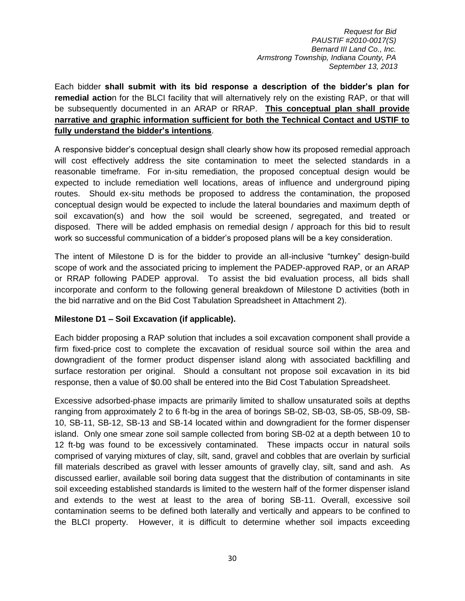Each bidder **shall submit with its bid response a description of the bidder's plan for remedial actio**n for the BLCI facility that will alternatively rely on the existing RAP, or that will be subsequently documented in an ARAP or RRAP. **This conceptual plan shall provide narrative and graphic information sufficient for both the Technical Contact and USTIF to fully understand the bidder's intentions**.

A responsive bidder's conceptual design shall clearly show how its proposed remedial approach will cost effectively address the site contamination to meet the selected standards in a reasonable timeframe. For in-situ remediation, the proposed conceptual design would be expected to include remediation well locations, areas of influence and underground piping routes. Should ex-situ methods be proposed to address the contamination, the proposed conceptual design would be expected to include the lateral boundaries and maximum depth of soil excavation(s) and how the soil would be screened, segregated, and treated or disposed. There will be added emphasis on remedial design / approach for this bid to result work so successful communication of a bidder's proposed plans will be a key consideration.

The intent of Milestone D is for the bidder to provide an all-inclusive "turnkey" design-build scope of work and the associated pricing to implement the PADEP-approved RAP, or an ARAP or RRAP following PADEP approval. To assist the bid evaluation process, all bids shall incorporate and conform to the following general breakdown of Milestone D activities (both in the bid narrative and on the Bid Cost Tabulation Spreadsheet in Attachment 2).

#### **Milestone D1 – Soil Excavation (if applicable).**

Each bidder proposing a RAP solution that includes a soil excavation component shall provide a firm fixed-price cost to complete the excavation of residual source soil within the area and downgradient of the former product dispenser island along with associated backfilling and surface restoration per original. Should a consultant not propose soil excavation in its bid response, then a value of \$0.00 shall be entered into the Bid Cost Tabulation Spreadsheet.

Excessive adsorbed-phase impacts are primarily limited to shallow unsaturated soils at depths ranging from approximately 2 to 6 ft-bg in the area of borings SB-02, SB-03, SB-05, SB-09, SB-10, SB-11, SB-12, SB-13 and SB-14 located within and downgradient for the former dispenser island. Only one smear zone soil sample collected from boring SB-02 at a depth between 10 to 12 ft-bg was found to be excessively contaminated. These impacts occur in natural soils comprised of varying mixtures of clay, silt, sand, gravel and cobbles that are overlain by surficial fill materials described as gravel with lesser amounts of gravelly clay, silt, sand and ash. As discussed earlier, available soil boring data suggest that the distribution of contaminants in site soil exceeding established standards is limited to the western half of the former dispenser island and extends to the west at least to the area of boring SB-11. Overall, excessive soil contamination seems to be defined both laterally and vertically and appears to be confined to the BLCI property. However, it is difficult to determine whether soil impacts exceeding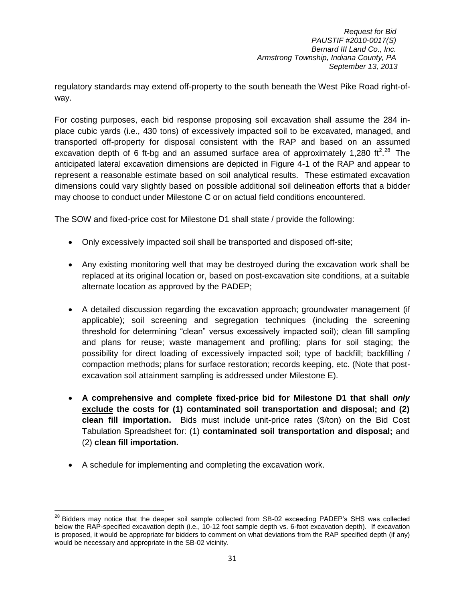regulatory standards may extend off-property to the south beneath the West Pike Road right-ofway.

For costing purposes, each bid response proposing soil excavation shall assume the 284 inplace cubic yards (i.e., 430 tons) of excessively impacted soil to be excavated, managed, and transported off-property for disposal consistent with the RAP and based on an assumed excavation depth of 6 ft-bg and an assumed surface area of approximately 1,280 ft<sup>2</sup>.<sup>28</sup> The anticipated lateral excavation dimensions are depicted in Figure 4-1 of the RAP and appear to represent a reasonable estimate based on soil analytical results. These estimated excavation dimensions could vary slightly based on possible additional soil delineation efforts that a bidder may choose to conduct under Milestone C or on actual field conditions encountered.

The SOW and fixed-price cost for Milestone D1 shall state / provide the following:

- Only excessively impacted soil shall be transported and disposed off-site;
- Any existing monitoring well that may be destroyed during the excavation work shall be replaced at its original location or, based on post-excavation site conditions, at a suitable alternate location as approved by the PADEP;
- A detailed discussion regarding the excavation approach; groundwater management (if applicable); soil screening and segregation techniques (including the screening threshold for determining "clean" versus excessively impacted soil); clean fill sampling and plans for reuse; waste management and profiling; plans for soil staging; the possibility for direct loading of excessively impacted soil; type of backfill; backfilling / compaction methods; plans for surface restoration; records keeping, etc. (Note that postexcavation soil attainment sampling is addressed under Milestone E).
- **A comprehensive and complete fixed-price bid for Milestone D1 that shall** *only*  **exclude the costs for (1) contaminated soil transportation and disposal; and (2) clean fill importation.** Bids must include unit-price rates (\$/ton) on the Bid Cost Tabulation Spreadsheet for: (1) **contaminated soil transportation and disposal;** and (2) **clean fill importation.**
- A schedule for implementing and completing the excavation work.

 $\overline{\phantom{a}}$ <sup>28</sup> Bidders may notice that the deeper soil sample collected from SB-02 exceeding PADEP's SHS was collected below the RAP-specified excavation depth (i.e., 10-12 foot sample depth vs. 6-foot excavation depth). If excavation is proposed, it would be appropriate for bidders to comment on what deviations from the RAP specified depth (if any) would be necessary and appropriate in the SB-02 vicinity.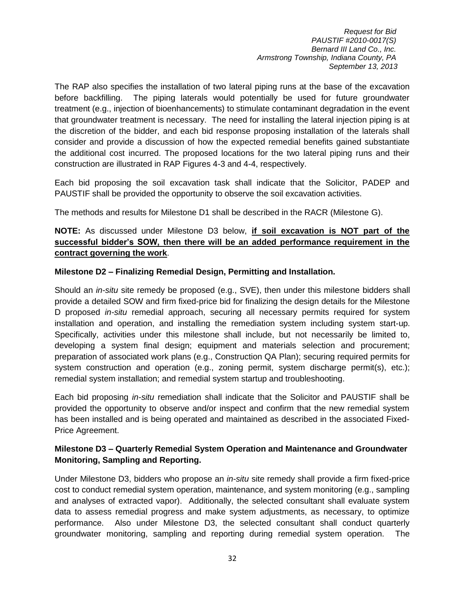The RAP also specifies the installation of two lateral piping runs at the base of the excavation before backfilling. The piping laterals would potentially be used for future groundwater treatment (e.g., injection of bioenhancements) to stimulate contaminant degradation in the event that groundwater treatment is necessary. The need for installing the lateral injection piping is at the discretion of the bidder, and each bid response proposing installation of the laterals shall consider and provide a discussion of how the expected remedial benefits gained substantiate the additional cost incurred. The proposed locations for the two lateral piping runs and their construction are illustrated in RAP Figures 4-3 and 4-4, respectively.

Each bid proposing the soil excavation task shall indicate that the Solicitor, PADEP and PAUSTIF shall be provided the opportunity to observe the soil excavation activities.

The methods and results for Milestone D1 shall be described in the RACR (Milestone G).

## **NOTE:** As discussed under Milestone D3 below, **if soil excavation is NOT part of the successful bidder's SOW, then there will be an added performance requirement in the contract governing the work**.

## **Milestone D2 – Finalizing Remedial Design, Permitting and Installation.**

Should an *in-situ* site remedy be proposed (e.g., SVE), then under this milestone bidders shall provide a detailed SOW and firm fixed-price bid for finalizing the design details for the Milestone D proposed *in-situ* remedial approach, securing all necessary permits required for system installation and operation, and installing the remediation system including system start-up. Specifically, activities under this milestone shall include, but not necessarily be limited to, developing a system final design; equipment and materials selection and procurement; preparation of associated work plans (e.g., Construction QA Plan); securing required permits for system construction and operation (e.g., zoning permit, system discharge permit(s), etc.); remedial system installation; and remedial system startup and troubleshooting.

Each bid proposing *in-situ* remediation shall indicate that the Solicitor and PAUSTIF shall be provided the opportunity to observe and/or inspect and confirm that the new remedial system has been installed and is being operated and maintained as described in the associated Fixed-Price Agreement.

## **Milestone D3 – Quarterly Remedial System Operation and Maintenance and Groundwater Monitoring, Sampling and Reporting.**

Under Milestone D3, bidders who propose an *in-situ* site remedy shall provide a firm fixed-price cost to conduct remedial system operation, maintenance, and system monitoring (e.g., sampling and analyses of extracted vapor). Additionally, the selected consultant shall evaluate system data to assess remedial progress and make system adjustments, as necessary, to optimize performance. Also under Milestone D3, the selected consultant shall conduct quarterly groundwater monitoring, sampling and reporting during remedial system operation. The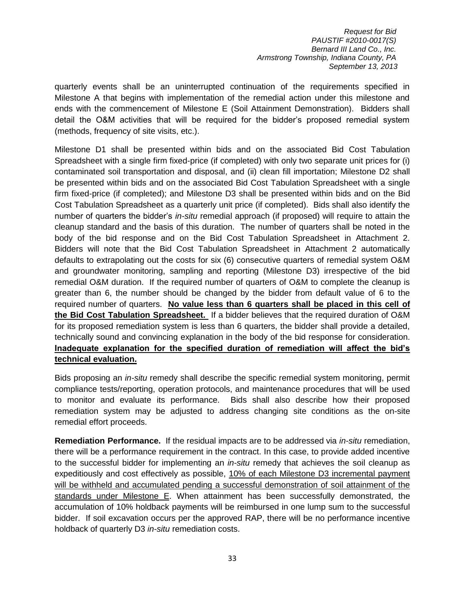quarterly events shall be an uninterrupted continuation of the requirements specified in Milestone A that begins with implementation of the remedial action under this milestone and ends with the commencement of Milestone E (Soil Attainment Demonstration). Bidders shall detail the O&M activities that will be required for the bidder's proposed remedial system (methods, frequency of site visits, etc.).

Milestone D1 shall be presented within bids and on the associated Bid Cost Tabulation Spreadsheet with a single firm fixed-price (if completed) with only two separate unit prices for (i) contaminated soil transportation and disposal, and (ii) clean fill importation; Milestone D2 shall be presented within bids and on the associated Bid Cost Tabulation Spreadsheet with a single firm fixed-price (if completed); and Milestone D3 shall be presented within bids and on the Bid Cost Tabulation Spreadsheet as a quarterly unit price (if completed). Bids shall also identify the number of quarters the bidder's *in-situ* remedial approach (if proposed) will require to attain the cleanup standard and the basis of this duration. The number of quarters shall be noted in the body of the bid response and on the Bid Cost Tabulation Spreadsheet in Attachment 2. Bidders will note that the Bid Cost Tabulation Spreadsheet in Attachment 2 automatically defaults to extrapolating out the costs for six (6) consecutive quarters of remedial system O&M and groundwater monitoring, sampling and reporting (Milestone D3) irrespective of the bid remedial O&M duration. If the required number of quarters of O&M to complete the cleanup is greater than 6, the number should be changed by the bidder from default value of 6 to the required number of quarters. **No value less than 6 quarters shall be placed in this cell of the Bid Cost Tabulation Spreadsheet.** If a bidder believes that the required duration of O&M for its proposed remediation system is less than 6 quarters, the bidder shall provide a detailed, technically sound and convincing explanation in the body of the bid response for consideration. **Inadequate explanation for the specified duration of remediation will affect the bid's technical evaluation.** 

Bids proposing an *in-situ* remedy shall describe the specific remedial system monitoring, permit compliance tests/reporting, operation protocols, and maintenance procedures that will be used to monitor and evaluate its performance. Bids shall also describe how their proposed remediation system may be adjusted to address changing site conditions as the on-site remedial effort proceeds.

**Remediation Performance.** If the residual impacts are to be addressed via *in-situ* remediation, there will be a performance requirement in the contract. In this case, to provide added incentive to the successful bidder for implementing an *in-situ* remedy that achieves the soil cleanup as expeditiously and cost effectively as possible, 10% of each Milestone D3 incremental payment will be withheld and accumulated pending a successful demonstration of soil attainment of the standards under Milestone E. When attainment has been successfully demonstrated, the accumulation of 10% holdback payments will be reimbursed in one lump sum to the successful bidder. If soil excavation occurs per the approved RAP, there will be no performance incentive holdback of quarterly D3 *in-situ* remediation costs.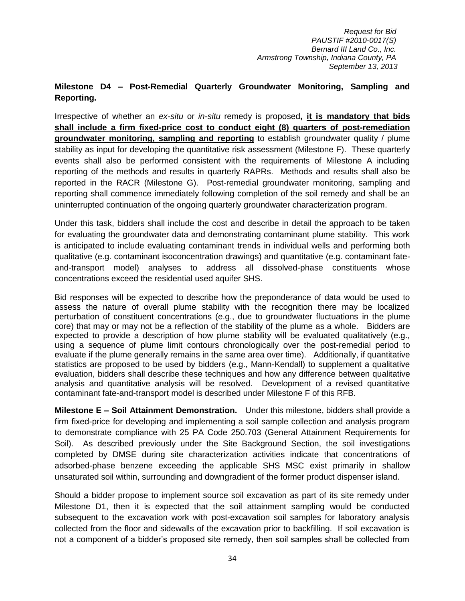## **Milestone D4 – Post-Remedial Quarterly Groundwater Monitoring, Sampling and Reporting.**

Irrespective of whether an *ex-situ* or *in-situ* remedy is proposed**, it is mandatory that bids shall include a firm fixed-price cost to conduct eight (8) quarters of post-remediation groundwater monitoring, sampling and reporting** to establish groundwater quality / plume stability as input for developing the quantitative risk assessment (Milestone F). These quarterly events shall also be performed consistent with the requirements of Milestone A including reporting of the methods and results in quarterly RAPRs. Methods and results shall also be reported in the RACR (Milestone G). Post-remedial groundwater monitoring, sampling and reporting shall commence immediately following completion of the soil remedy and shall be an uninterrupted continuation of the ongoing quarterly groundwater characterization program.

Under this task, bidders shall include the cost and describe in detail the approach to be taken for evaluating the groundwater data and demonstrating contaminant plume stability. This work is anticipated to include evaluating contaminant trends in individual wells and performing both qualitative (e.g. contaminant isoconcentration drawings) and quantitative (e.g. contaminant fateand-transport model) analyses to address all dissolved-phase constituents whose concentrations exceed the residential used aquifer SHS.

Bid responses will be expected to describe how the preponderance of data would be used to assess the nature of overall plume stability with the recognition there may be localized perturbation of constituent concentrations (e.g., due to groundwater fluctuations in the plume core) that may or may not be a reflection of the stability of the plume as a whole. Bidders are expected to provide a description of how plume stability will be evaluated qualitatively (e.g., using a sequence of plume limit contours chronologically over the post-remedial period to evaluate if the plume generally remains in the same area over time). Additionally, if quantitative statistics are proposed to be used by bidders (e.g., Mann-Kendall) to supplement a qualitative evaluation, bidders shall describe these techniques and how any difference between qualitative analysis and quantitative analysis will be resolved. Development of a revised quantitative contaminant fate-and-transport model is described under Milestone F of this RFB.

**Milestone E – Soil Attainment Demonstration.** Under this milestone, bidders shall provide a firm fixed-price for developing and implementing a soil sample collection and analysis program to demonstrate compliance with 25 PA Code 250.703 (General Attainment Requirements for Soil). As described previously under the Site Background Section, the soil investigations completed by DMSE during site characterization activities indicate that concentrations of adsorbed-phase benzene exceeding the applicable SHS MSC exist primarily in shallow unsaturated soil within, surrounding and downgradient of the former product dispenser island.

Should a bidder propose to implement source soil excavation as part of its site remedy under Milestone D1, then it is expected that the soil attainment sampling would be conducted subsequent to the excavation work with post-excavation soil samples for laboratory analysis collected from the floor and sidewalls of the excavation prior to backfilling. If soil excavation is not a component of a bidder's proposed site remedy, then soil samples shall be collected from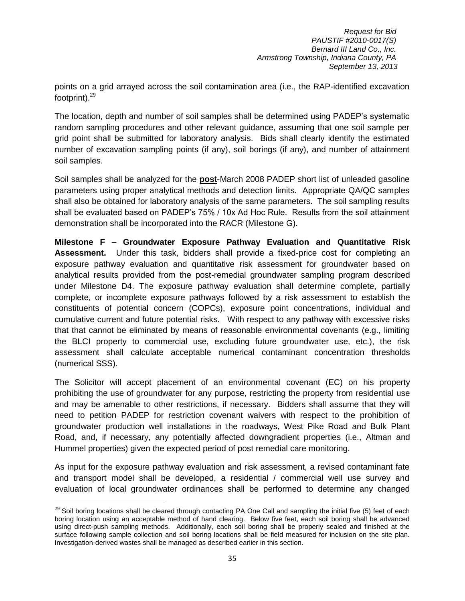points on a grid arrayed across the soil contamination area (i.e., the RAP-identified excavation footprint).<sup>29</sup>

The location, depth and number of soil samples shall be determined using PADEP's systematic random sampling procedures and other relevant guidance, assuming that one soil sample per grid point shall be submitted for laboratory analysis. Bids shall clearly identify the estimated number of excavation sampling points (if any), soil borings (if any), and number of attainment soil samples.

Soil samples shall be analyzed for the **post**-March 2008 PADEP short list of unleaded gasoline parameters using proper analytical methods and detection limits. Appropriate QA/QC samples shall also be obtained for laboratory analysis of the same parameters. The soil sampling results shall be evaluated based on PADEP's 75% / 10x Ad Hoc Rule. Results from the soil attainment demonstration shall be incorporated into the RACR (Milestone G).

**Milestone F – Groundwater Exposure Pathway Evaluation and Quantitative Risk Assessment.** Under this task, bidders shall provide a fixed-price cost for completing an exposure pathway evaluation and quantitative risk assessment for groundwater based on analytical results provided from the post-remedial groundwater sampling program described under Milestone D4. The exposure pathway evaluation shall determine complete, partially complete, or incomplete exposure pathways followed by a risk assessment to establish the constituents of potential concern (COPCs), exposure point concentrations, individual and cumulative current and future potential risks. With respect to any pathway with excessive risks that that cannot be eliminated by means of reasonable environmental covenants (e.g., limiting the BLCI property to commercial use, excluding future groundwater use, etc.), the risk assessment shall calculate acceptable numerical contaminant concentration thresholds (numerical SSS).

The Solicitor will accept placement of an environmental covenant (EC) on his property prohibiting the use of groundwater for any purpose, restricting the property from residential use and may be amenable to other restrictions, if necessary. Bidders shall assume that they will need to petition PADEP for restriction covenant waivers with respect to the prohibition of groundwater production well installations in the roadways, West Pike Road and Bulk Plant Road, and, if necessary, any potentially affected downgradient properties (i.e., Altman and Hummel properties) given the expected period of post remedial care monitoring.

As input for the exposure pathway evaluation and risk assessment, a revised contaminant fate and transport model shall be developed, a residential / commercial well use survey and evaluation of local groundwater ordinances shall be performed to determine any changed

l  $^{29}$  Soil boring locations shall be cleared through contacting PA One Call and sampling the initial five (5) feet of each boring location using an acceptable method of hand clearing. Below five feet, each soil boring shall be advanced using direct-push sampling methods. Additionally, each soil boring shall be properly sealed and finished at the surface following sample collection and soil boring locations shall be field measured for inclusion on the site plan. Investigation-derived wastes shall be managed as described earlier in this section.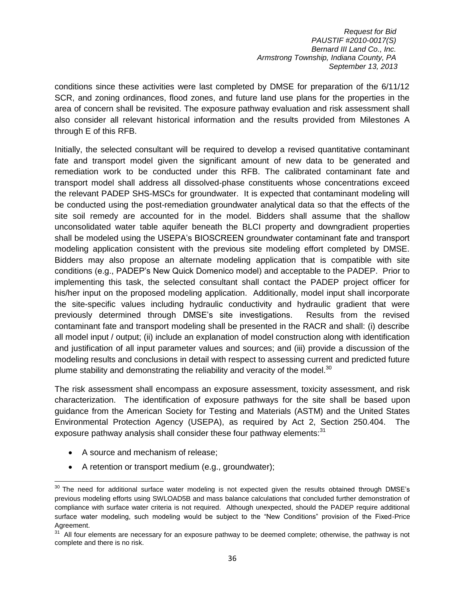conditions since these activities were last completed by DMSE for preparation of the 6/11/12 SCR, and zoning ordinances, flood zones, and future land use plans for the properties in the area of concern shall be revisited. The exposure pathway evaluation and risk assessment shall also consider all relevant historical information and the results provided from Milestones A through E of this RFB.

Initially, the selected consultant will be required to develop a revised quantitative contaminant fate and transport model given the significant amount of new data to be generated and remediation work to be conducted under this RFB. The calibrated contaminant fate and transport model shall address all dissolved-phase constituents whose concentrations exceed the relevant PADEP SHS-MSCs for groundwater. It is expected that contaminant modeling will be conducted using the post-remediation groundwater analytical data so that the effects of the site soil remedy are accounted for in the model. Bidders shall assume that the shallow unconsolidated water table aquifer beneath the BLCI property and downgradient properties shall be modeled using the USEPA's BIOSCREEN groundwater contaminant fate and transport modeling application consistent with the previous site modeling effort completed by DMSE. Bidders may also propose an alternate modeling application that is compatible with site conditions (e.g., PADEP's New Quick Domenico model) and acceptable to the PADEP. Prior to implementing this task, the selected consultant shall contact the PADEP project officer for his/her input on the proposed modeling application. Additionally, model input shall incorporate the site-specific values including hydraulic conductivity and hydraulic gradient that were previously determined through DMSE's site investigations. Results from the revised contaminant fate and transport modeling shall be presented in the RACR and shall: (i) describe all model input / output; (ii) include an explanation of model construction along with identification and justification of all input parameter values and sources; and (iii) provide a discussion of the modeling results and conclusions in detail with respect to assessing current and predicted future plume stability and demonstrating the reliability and veracity of the model.<sup>30</sup>

The risk assessment shall encompass an exposure assessment, toxicity assessment, and risk characterization. The identification of exposure pathways for the site shall be based upon guidance from the American Society for Testing and Materials (ASTM) and the United States Environmental Protection Agency (USEPA), as required by Act 2, Section 250.404. The exposure pathway analysis shall consider these four pathway elements: 31

- A source and mechanism of release:
- A retention or transport medium (e.g., groundwater);

 $\overline{\phantom{a}}$  $30$  The need for additional surface water modeling is not expected given the results obtained through DMSE's previous modeling efforts using SWLOAD5B and mass balance calculations that concluded further demonstration of compliance with surface water criteria is not required. Although unexpected, should the PADEP require additional surface water modeling, such modeling would be subject to the "New Conditions" provision of the Fixed-Price Agreement.

<sup>&</sup>lt;sup>31</sup> All four elements are necessary for an exposure pathway to be deemed complete; otherwise, the pathway is not complete and there is no risk.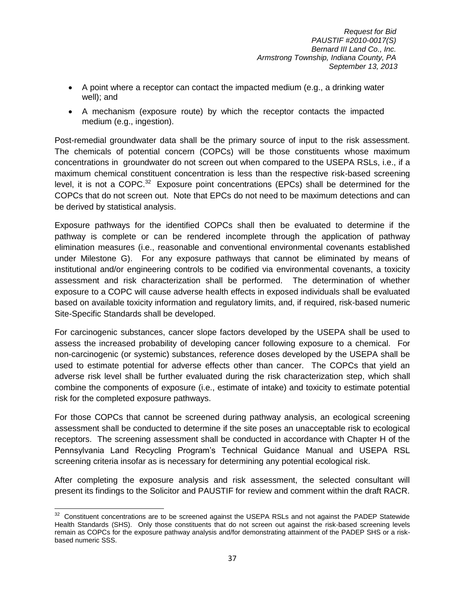- A point where a receptor can contact the impacted medium (e.g., a drinking water well); and
- A mechanism (exposure route) by which the receptor contacts the impacted medium (e.g., ingestion).

Post-remedial groundwater data shall be the primary source of input to the risk assessment. The chemicals of potential concern (COPCs) will be those constituents whose maximum concentrations in groundwater do not screen out when compared to the USEPA RSLs, i.e., if a maximum chemical constituent concentration is less than the respective risk-based screening level, it is not a COPC.<sup>32</sup> Exposure point concentrations (EPCs) shall be determined for the COPCs that do not screen out. Note that EPCs do not need to be maximum detections and can be derived by statistical analysis.

Exposure pathways for the identified COPCs shall then be evaluated to determine if the pathway is complete or can be rendered incomplete through the application of pathway elimination measures (i.e., reasonable and conventional environmental covenants established under Milestone G). For any exposure pathways that cannot be eliminated by means of institutional and/or engineering controls to be codified via environmental covenants, a toxicity assessment and risk characterization shall be performed. The determination of whether exposure to a COPC will cause adverse health effects in exposed individuals shall be evaluated based on available toxicity information and regulatory limits, and, if required, risk-based numeric Site-Specific Standards shall be developed.

For carcinogenic substances, cancer slope factors developed by the USEPA shall be used to assess the increased probability of developing cancer following exposure to a chemical. For non-carcinogenic (or systemic) substances, reference doses developed by the USEPA shall be used to estimate potential for adverse effects other than cancer. The COPCs that yield an adverse risk level shall be further evaluated during the risk characterization step, which shall combine the components of exposure (i.e., estimate of intake) and toxicity to estimate potential risk for the completed exposure pathways.

For those COPCs that cannot be screened during pathway analysis, an ecological screening assessment shall be conducted to determine if the site poses an unacceptable risk to ecological receptors. The screening assessment shall be conducted in accordance with Chapter H of the Pennsylvania Land Recycling Program's Technical Guidance Manual and USEPA RSL screening criteria insofar as is necessary for determining any potential ecological risk.

After completing the exposure analysis and risk assessment, the selected consultant will present its findings to the Solicitor and PAUSTIF for review and comment within the draft RACR.

 $\overline{\phantom{a}}$  $32$  Constituent concentrations are to be screened against the USEPA RSLs and not against the PADEP Statewide Health Standards (SHS). Only those constituents that do not screen out against the risk-based screening levels remain as COPCs for the exposure pathway analysis and/for demonstrating attainment of the PADEP SHS or a riskbased numeric SSS.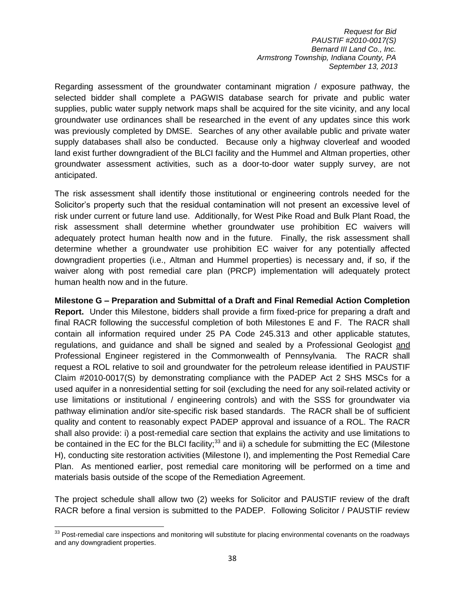Regarding assessment of the groundwater contaminant migration / exposure pathway, the selected bidder shall complete a PAGWIS database search for private and public water supplies, public water supply network maps shall be acquired for the site vicinity, and any local groundwater use ordinances shall be researched in the event of any updates since this work was previously completed by DMSE. Searches of any other available public and private water supply databases shall also be conducted. Because only a highway cloverleaf and wooded land exist further downgradient of the BLCI facility and the Hummel and Altman properties, other groundwater assessment activities, such as a door-to-door water supply survey, are not anticipated.

The risk assessment shall identify those institutional or engineering controls needed for the Solicitor's property such that the residual contamination will not present an excessive level of risk under current or future land use. Additionally, for West Pike Road and Bulk Plant Road, the risk assessment shall determine whether groundwater use prohibition EC waivers will adequately protect human health now and in the future. Finally, the risk assessment shall determine whether a groundwater use prohibition EC waiver for any potentially affected downgradient properties (i.e., Altman and Hummel properties) is necessary and, if so, if the waiver along with post remedial care plan (PRCP) implementation will adequately protect human health now and in the future.

**Milestone G – Preparation and Submittal of a Draft and Final Remedial Action Completion Report.** Under this Milestone, bidders shall provide a firm fixed-price for preparing a draft and final RACR following the successful completion of both Milestones E and F. The RACR shall contain all information required under 25 PA Code 245.313 and other applicable statutes, regulations, and guidance and shall be signed and sealed by a Professional Geologist and Professional Engineer registered in the Commonwealth of Pennsylvania. The RACR shall request a ROL relative to soil and groundwater for the petroleum release identified in PAUSTIF Claim #2010-0017(S) by demonstrating compliance with the PADEP Act 2 SHS MSCs for a used aquifer in a nonresidential setting for soil (excluding the need for any soil-related activity or use limitations or institutional / engineering controls) and with the SSS for groundwater via pathway elimination and/or site-specific risk based standards. The RACR shall be of sufficient quality and content to reasonably expect PADEP approval and issuance of a ROL. The RACR shall also provide: i) a post-remedial care section that explains the activity and use limitations to be contained in the EC for the BLCI facility; $33$  and ii) a schedule for submitting the EC (Milestone H), conducting site restoration activities (Milestone I), and implementing the Post Remedial Care Plan. As mentioned earlier, post remedial care monitoring will be performed on a time and materials basis outside of the scope of the Remediation Agreement.

The project schedule shall allow two (2) weeks for Solicitor and PAUSTIF review of the draft RACR before a final version is submitted to the PADEP. Following Solicitor / PAUSTIF review

 $\overline{a}$ 

 $33$  Post-remedial care inspections and monitoring will substitute for placing environmental covenants on the roadways and any downgradient properties.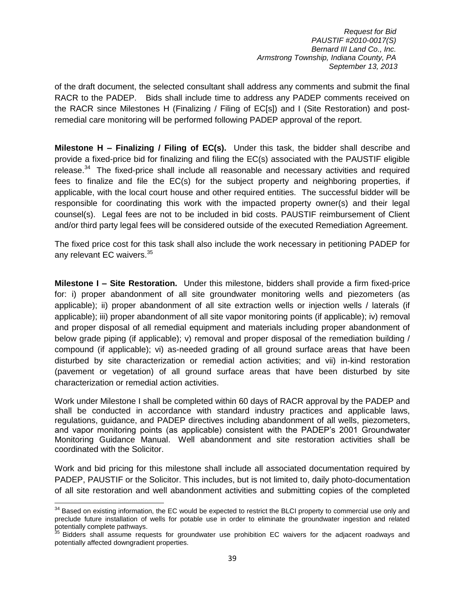of the draft document, the selected consultant shall address any comments and submit the final RACR to the PADEP. Bids shall include time to address any PADEP comments received on the RACR since Milestones H (Finalizing / Filing of EC[s]) and I (Site Restoration) and postremedial care monitoring will be performed following PADEP approval of the report.

**Milestone H – Finalizing / Filing of EC(s).** Under this task, the bidder shall describe and provide a fixed-price bid for finalizing and filing the EC(s) associated with the PAUSTIF eligible release. $34$  The fixed-price shall include all reasonable and necessary activities and required fees to finalize and file the EC(s) for the subject property and neighboring properties, if applicable, with the local court house and other required entities. The successful bidder will be responsible for coordinating this work with the impacted property owner(s) and their legal counsel(s). Legal fees are not to be included in bid costs. PAUSTIF reimbursement of Client and/or third party legal fees will be considered outside of the executed Remediation Agreement.

The fixed price cost for this task shall also include the work necessary in petitioning PADEP for any relevant EC waivers.<sup>35</sup>

**Milestone I – Site Restoration.** Under this milestone, bidders shall provide a firm fixed-price for: i) proper abandonment of all site groundwater monitoring wells and piezometers (as applicable); ii) proper abandonment of all site extraction wells or injection wells / laterals (if applicable); iii) proper abandonment of all site vapor monitoring points (if applicable); iv) removal and proper disposal of all remedial equipment and materials including proper abandonment of below grade piping (if applicable); v) removal and proper disposal of the remediation building / compound (if applicable); vi) as-needed grading of all ground surface areas that have been disturbed by site characterization or remedial action activities; and vii) in-kind restoration (pavement or vegetation) of all ground surface areas that have been disturbed by site characterization or remedial action activities.

Work under Milestone I shall be completed within 60 days of RACR approval by the PADEP and shall be conducted in accordance with standard industry practices and applicable laws, regulations, guidance, and PADEP directives including abandonment of all wells, piezometers, and vapor monitoring points (as applicable) consistent with the PADEP's 2001 Groundwater Monitoring Guidance Manual. Well abandonment and site restoration activities shall be coordinated with the Solicitor.

Work and bid pricing for this milestone shall include all associated documentation required by PADEP, PAUSTIF or the Solicitor. This includes, but is not limited to, daily photo-documentation of all site restoration and well abandonment activities and submitting copies of the completed

l  $34$  Based on existing information, the EC would be expected to restrict the BLCI property to commercial use only and preclude future installation of wells for potable use in order to eliminate the groundwater ingestion and related potentially complete pathways.

Bidders shall assume requests for groundwater use prohibition EC waivers for the adjacent roadways and potentially affected downgradient properties.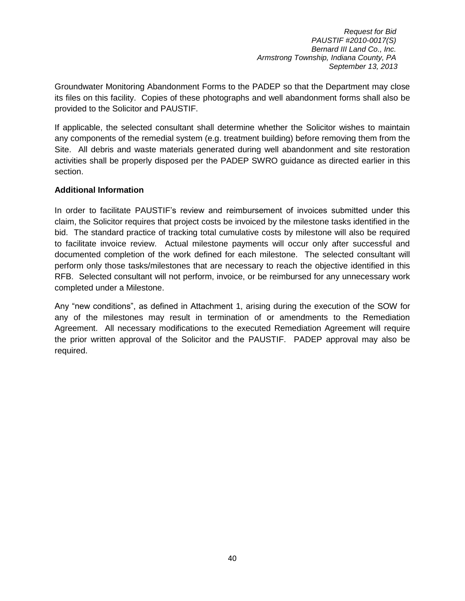Groundwater Monitoring Abandonment Forms to the PADEP so that the Department may close its files on this facility. Copies of these photographs and well abandonment forms shall also be provided to the Solicitor and PAUSTIF.

If applicable, the selected consultant shall determine whether the Solicitor wishes to maintain any components of the remedial system (e.g. treatment building) before removing them from the Site. All debris and waste materials generated during well abandonment and site restoration activities shall be properly disposed per the PADEP SWRO guidance as directed earlier in this section.

## **Additional Information**

In order to facilitate PAUSTIF's review and reimbursement of invoices submitted under this claim, the Solicitor requires that project costs be invoiced by the milestone tasks identified in the bid. The standard practice of tracking total cumulative costs by milestone will also be required to facilitate invoice review. Actual milestone payments will occur only after successful and documented completion of the work defined for each milestone. The selected consultant will perform only those tasks/milestones that are necessary to reach the objective identified in this RFB. Selected consultant will not perform, invoice, or be reimbursed for any unnecessary work completed under a Milestone.

Any "new conditions", as defined in Attachment 1, arising during the execution of the SOW for any of the milestones may result in termination of or amendments to the Remediation Agreement. All necessary modifications to the executed Remediation Agreement will require the prior written approval of the Solicitor and the PAUSTIF. PADEP approval may also be required.